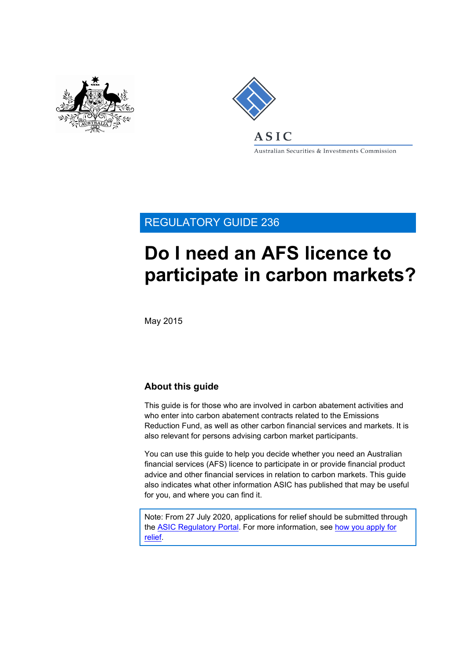



Australian Securities & Investments Commission

REGULATORY GUIDE 236

# **Do I need an AFS licence to participate in carbon markets?**

May 2015

### **About this guide**

This guide is for those who are involved in carbon abatement activities and who enter into carbon abatement contracts related to the Emissions Reduction Fund, as well as other carbon financial services and markets. It is also relevant for persons advising carbon market participants.

You can use this guide to help you decide whether you need an Australian financial services (AFS) licence to participate in or provide financial product advice and other financial services in relation to carbon markets. This guide also indicates what other information ASIC has published that may be useful for you, and where you can find it.

Note: From 27 July 2020, applications for relief should be submitted through the [ASIC Regulatory Portal.](https://regulatoryportal.asic.gov.au/) For more information, see how you [apply for](https://asic.gov.au/about-asic/dealing-with-asic/apply-for-relief/changes-to-how-you-apply-for-relief/)  [relief.](https://asic.gov.au/about-asic/dealing-with-asic/apply-for-relief/changes-to-how-you-apply-for-relief/)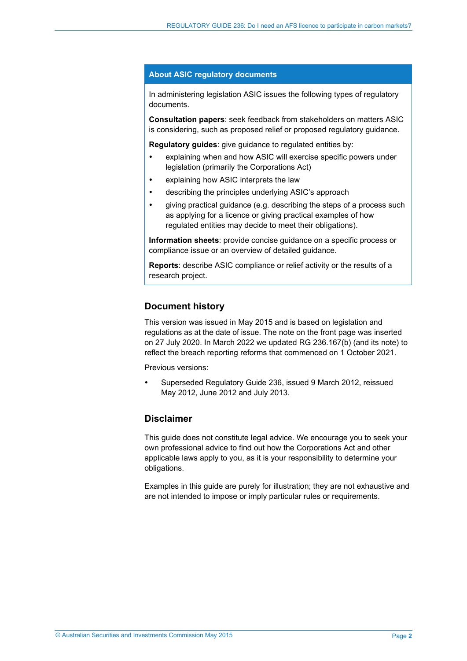#### **About ASIC regulatory documents**

In administering legislation ASIC issues the following types of regulatory documents.

**Consultation papers**: seek feedback from stakeholders on matters ASIC is considering, such as proposed relief or proposed regulatory guidance.

**Regulatory guides:** give guidance to regulated entities by:

- explaining when and how ASIC will exercise specific powers under legislation (primarily the Corporations Act)
- explaining how ASIC interprets the law
- describing the principles underlying ASIC's approach
- giving practical guidance (e.g. describing the steps of a process such as applying for a licence or giving practical examples of how regulated entities may decide to meet their obligations).

**Information sheets**: provide concise guidance on a specific process or compliance issue or an overview of detailed guidance.

**Reports**: describe ASIC compliance or relief activity or the results of a research project.

#### **Document history**

This version was issued in May 2015 and is based on legislation and regulations as at the date of issue. The note on the front page was inserted on 27 July 2020. In March 2022 we updated [RG 236.167\(b\)](#page-51-0) (and its note) to reflect the breach reporting reforms that commenced on 1 October 2021.

Previous versions:

 Superseded Regulatory Guide 236, issued 9 March 2012, reissued May 2012, June 2012 and July 2013.

#### **Disclaimer**

This guide does not constitute legal advice. We encourage you to seek your own professional advice to find out how the Corporations Act and other applicable laws apply to you, as it is your responsibility to determine your obligations.

Examples in this guide are purely for illustration; they are not exhaustive and are not intended to impose or imply particular rules or requirements.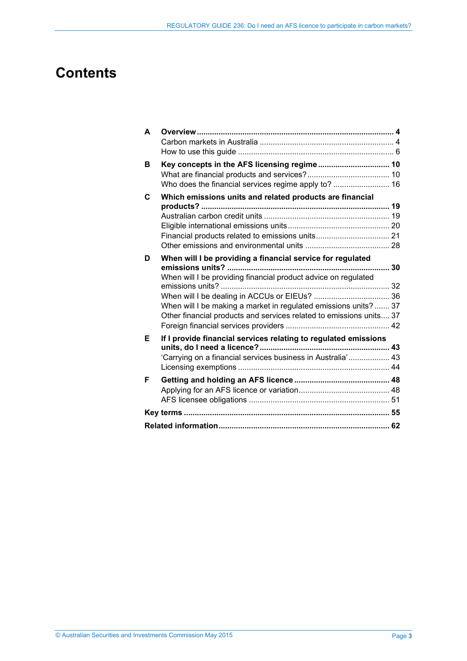## **Contents**

| A |                                                                     |  |
|---|---------------------------------------------------------------------|--|
|   |                                                                     |  |
|   |                                                                     |  |
| в | Key concepts in the AFS licensing regime 10                         |  |
|   |                                                                     |  |
|   | Who does the financial services regime apply to?  16                |  |
| C | Which emissions units and related products are financial            |  |
|   |                                                                     |  |
|   |                                                                     |  |
|   |                                                                     |  |
|   |                                                                     |  |
|   |                                                                     |  |
| D | When will I be providing a financial service for regulated          |  |
|   | When will I be providing financial product advice on regulated      |  |
|   |                                                                     |  |
|   |                                                                     |  |
|   | When will I be making a market in regulated emissions units? 37     |  |
|   | Other financial products and services related to emissions units 37 |  |
|   |                                                                     |  |
| Е | If I provide financial services relating to regulated emissions     |  |
|   |                                                                     |  |
|   | 'Carrying on a financial services business in Australia' 43         |  |
|   |                                                                     |  |
| F |                                                                     |  |
|   |                                                                     |  |
|   |                                                                     |  |
|   |                                                                     |  |
|   |                                                                     |  |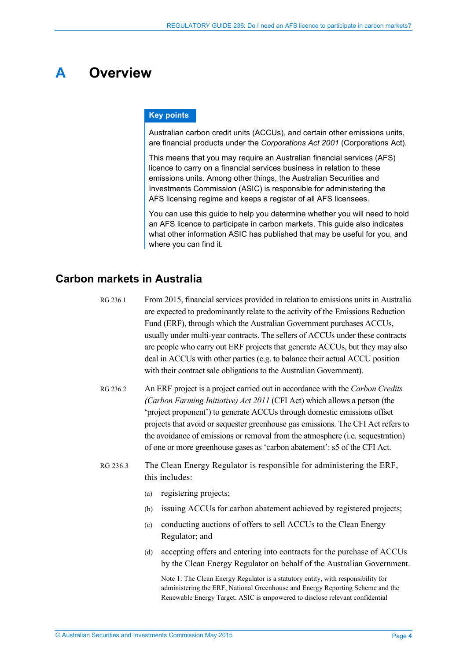## <span id="page-3-0"></span>**A Overview**

#### **Key points**

Australian carbon credit units (ACCUs), and certain other emissions units, are financial products under the *Corporations Act 2001* (Corporations Act).

This means that you may require an Australian financial services (AFS) licence to carry on a financial services business in relation to these emissions units. Among other things, the Australian Securities and Investments Commission (ASIC) is responsible for administering the AFS licensing regime and keeps a register of all AFS licensees.

You can use this guide to help you determine whether you will need to hold an AFS licence to participate in carbon markets. This guide also indicates what other information ASIC has published that may be useful for you, and where you can find it.

### <span id="page-3-1"></span>**Carbon markets in Australia**

RG 236.1 From 2015, financial services provided in relation to emissions units in Australia are expected to predominantly relate to the activity of the Emissions Reduction Fund (ERF), through which the Australian Government purchases ACCUs, usually under multi-year contracts. The sellers of ACCUs under these contracts are people who carry out ERF projects that generate ACCUs, but they may also deal in ACCUs with other parties (e.g. to balance their actual ACCU position with their contract sale obligations to the Australian Government).

- <span id="page-3-2"></span>RG 236.2 An ERF project is a project carried out in accordance with the *Carbon Credits (Carbon Farming Initiative) Act 2011* (CFI Act) which allows a person (the 'project proponent') to generate ACCUs through domestic emissions offset projects that avoid or sequester greenhouse gas emissions. The CFI Act refers to the avoidance of emissions or removal from the atmosphere (i.e. sequestration) of one or more greenhouse gases as 'carbon abatement': s5 of the CFI Act.
- RG 236.3 The Clean Energy Regulator is responsible for administering the ERF, this includes:
	- (a) registering projects;
	- (b) issuing ACCUs for carbon abatement achieved by registered projects;
	- (c) conducting auctions of offers to sell ACCUs to the Clean Energy Regulator; and
	- (d) accepting offers and entering into contracts for the purchase of ACCUs by the Clean Energy Regulator on behalf of the Australian Government.

Note 1: The Clean Energy Regulator is a statutory entity, with responsibility for administering the ERF, National Greenhouse and Energy Reporting Scheme and the Renewable Energy Target. ASIC is empowered to disclose relevant confidential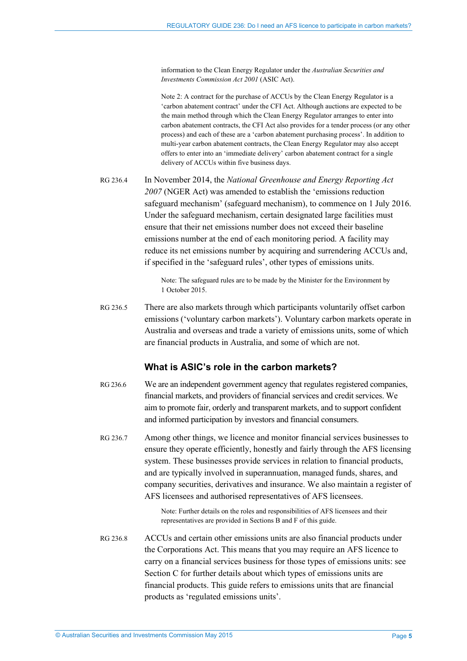information to the Clean Energy Regulator under the *Australian Securities and Investments Commission Act 2001* (ASIC Act).

Note 2: A contract for the purchase of ACCUs by the Clean Energy Regulator is a 'carbon abatement contract' under the CFI Act. Although auctions are expected to be the main method through which the Clean Energy Regulator arranges to enter into carbon abatement contracts, the CFI Act also provides for a tender process (or any other process) and each of these are a 'carbon abatement purchasing process'. In addition to multi-year carbon abatement contracts, the Clean Energy Regulator may also accept offers to enter into an 'immediate delivery' carbon abatement contract for a single delivery of ACCUs within five business days.

RG 236.4 In November 2014, the *National Greenhouse and Energy Reporting Act 2007* (NGER Act) was amended to establish the 'emissions reduction safeguard mechanism' (safeguard mechanism), to commence on 1 July 2016. Under the safeguard mechanism, certain designated large facilities must ensure that their net emissions number does not exceed their baseline emissions number at the end of each monitoring period. A facility may reduce its net emissions number by acquiring and surrendering ACCUs and, if specified in the 'safeguard rules', other types of emissions units.

> Note: The safeguard rules are to be made by the Minister for the Environment by 1 October 2015.

RG 236.5 There are also markets through which participants voluntarily offset carbon emissions ('voluntary carbon markets'). Voluntary carbon markets operate in Australia and overseas and trade a variety of emissions units, some of which are financial products in Australia, and some of which are not.

#### **What is ASIC's role in the carbon markets?**

- RG 236.6 We are an independent government agency that regulates registered companies, financial markets, and providers of financial services and credit services. We aim to promote fair, orderly and transparent markets, and to support confident and informed participation by investors and financial consumers.
- RG 236.7 Among other things, we licence and monitor financial services businesses to ensure they operate efficiently, honestly and fairly through the AFS licensing system. These businesses provide services in relation to financial products, and are typically involved in superannuation, managed funds, shares, and company securities, derivatives and insurance. We also maintain a register of AFS licensees and authorised representatives of AFS licensees.

Note: Further details on the roles and responsibilities of AFS licensees and their representatives are provided in Section[s B](#page-9-0) an[d F](#page-47-0) of this guide.

RG 236.8 ACCUs and certain other emissions units are also financial products under the Corporations Act. This means that you may require an AFS licence to carry on a financial services business for those types of emissions units: see Section [C](#page-18-0) for further details about which types of emissions units are financial products. This guide refers to emissions units that are financial products as 'regulated emissions units'.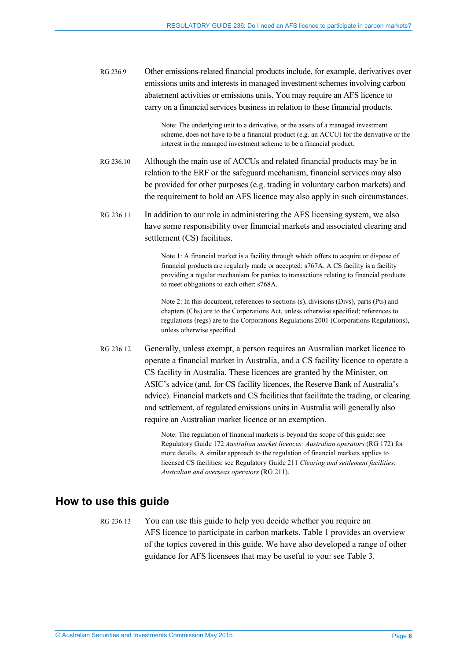RG 236.9 Other emissions-related financial products include, for example, derivatives over emissions units and interests in managed investment schemes involving carbon abatement activities or emissions units. You may require an AFS licence to carry on a financial services business in relation to these financial products.

> Note: The underlying unit to a derivative, or the assets of a managed investment scheme, does not have to be a financial product (e.g. an ACCU) for the derivative or the interest in the managed investment scheme to be a financial product.

- RG 236.10 Although the main use of ACCUs and related financial products may be in relation to the ERF or the safeguard mechanism, financial services may also be provided for other purposes (e.g. trading in voluntary carbon markets) and the requirement to hold an AFS licence may also apply in such circumstances.
- RG 236.11 In addition to our role in administering the AFS licensing system, we also have some responsibility over financial markets and associated clearing and settlement (CS) facilities.

Note 1: A financial market is a facility through which offers to acquire or dispose of financial products are regularly made or accepted: s767A. A CS facility is a facility providing a regular mechanism for parties to transactions relating to financial products to meet obligations to each other: s768A.

Note 2: In this document, references to sections (s), divisions (Divs), parts (Pts) and chapters (Chs) are to the Corporations Act, unless otherwise specified; references to regulations (regs) are to the Corporations Regulations 2001 (Corporations Regulations), unless otherwise specified.

RG 236.12 Generally, unless exempt, a person requires an Australian market licence to operate a financial market in Australia, and a CS facility licence to operate a CS facility in Australia. These licences are granted by the Minister, on ASIC's advice (and, for CS facility licences, the Reserve Bank of Australia's advice). Financial markets and CS facilities that facilitate the trading, or clearing and settlement, of regulated emissions units in Australia will generally also require an Australian market licence or an exemption.

> Note: The regulation of financial markets is beyond the scope of this guide: see Regulatory Guide 172 *Australian market licences: Australian operators* (RG 172) for more details. A similar approach to the regulation of financial markets applies to licensed CS facilities: see Regulatory Guide 211 *Clearing and settlement facilities: Australian and overseas operators* (RG 211).

### <span id="page-5-0"></span>**How to use this guide**

RG 236.13 You can use this guide to help you decide whether you require an AFS licence to participate in carbon markets. [Table 1](#page-6-0) provides an overview of the topics covered in this guide. We have also developed a range of other guidance for AFS licensees that may be useful to you: see [Table 3.](#page-7-0)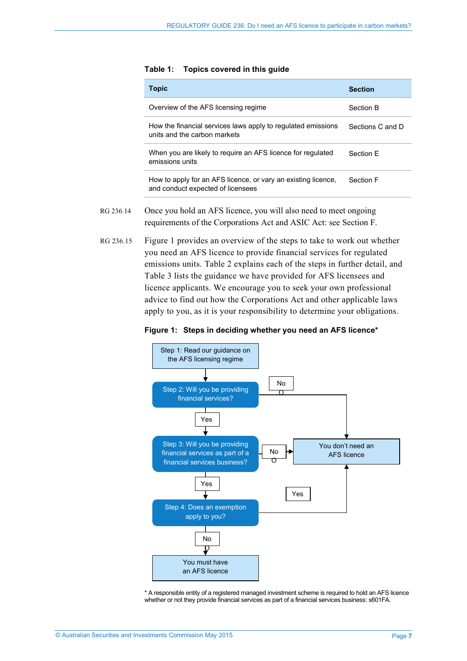<span id="page-6-0"></span>

| <b>Topic</b>                                                                                       | <b>Section</b>   |
|----------------------------------------------------------------------------------------------------|------------------|
| Overview of the AFS licensing regime                                                               | Section B        |
| How the financial services laws apply to regulated emissions<br>units and the carbon markets       | Sections C and D |
| When you are likely to require an AFS licence for regulated<br>emissions units                     | Section F        |
| How to apply for an AFS licence, or vary an existing licence,<br>and conduct expected of licensees | Section F        |

#### **Table 1: Topics covered in this guide**

- RG 236.14 Once you hold an AFS licence, you will also need to meet ongoing requirements of the Corporations Act and ASIC Act: see Section [F.](#page-47-0)
- RG 236.15 [Figure 1](#page-6-1) provides an overview of the steps to take to work out whether you need an AFS licence to provide financial services for regulated emissions units. [Table 2](#page-7-1) explains each of the steps in further detail, and [Table 3](#page-7-0) lists the guidance we have provided for AFS licensees and licence applicants. We encourage you to seek your own professional advice to find out how the Corporations Act and other applicable laws apply to you, as it is your responsibility to determine your obligations.

#### **Figure 1: Steps in deciding whether you need an AFS licence\***

<span id="page-6-1"></span>

\* A responsible entity of a registered managed investment scheme is required to hold an AFS licence whether or not they provide financial services as part of a financial services business: s601FA.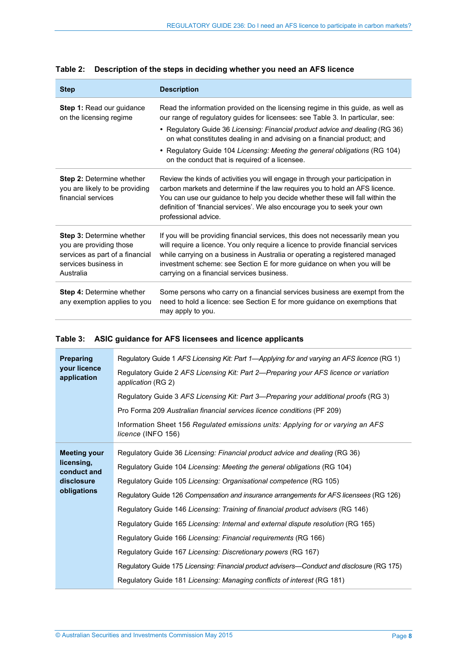| <b>Step</b>                                                                                                                         | <b>Description</b>                                                                                                                                                                                                                                                                                                                                                         |
|-------------------------------------------------------------------------------------------------------------------------------------|----------------------------------------------------------------------------------------------------------------------------------------------------------------------------------------------------------------------------------------------------------------------------------------------------------------------------------------------------------------------------|
| Step 1: Read our guidance<br>on the licensing regime                                                                                | Read the information provided on the licensing regime in this guide, as well as<br>our range of regulatory guides for licensees: see Table 3. In particular, see:                                                                                                                                                                                                          |
|                                                                                                                                     | • Regulatory Guide 36 Licensing: Financial product advice and dealing (RG 36)<br>on what constitutes dealing in and advising on a financial product; and                                                                                                                                                                                                                   |
|                                                                                                                                     | • Regulatory Guide 104 Licensing: Meeting the general obligations (RG 104)<br>on the conduct that is required of a licensee.                                                                                                                                                                                                                                               |
| <b>Step 2: Determine whether</b><br>you are likely to be providing<br>financial services                                            | Review the kinds of activities you will engage in through your participation in<br>carbon markets and determine if the law requires you to hold an AFS licence.<br>You can use our guidance to help you decide whether these will fall within the<br>definition of 'financial services'. We also encourage you to seek your own<br>professional advice.                    |
| <b>Step 3: Determine whether</b><br>you are providing those<br>services as part of a financial<br>services business in<br>Australia | If you will be providing financial services, this does not necessarily mean you<br>will require a licence. You only require a licence to provide financial services<br>while carrying on a business in Australia or operating a registered managed<br>investment scheme: see Section E for more guidance on when you will be<br>carrying on a financial services business. |
| Step 4: Determine whether<br>any exemption applies to you                                                                           | Some persons who carry on a financial services business are exempt from the<br>need to hold a licence: see Section E for more guidance on exemptions that<br>may apply to you.                                                                                                                                                                                             |

#### <span id="page-7-1"></span>**Table 2: Description of the steps in deciding whether you need an AFS licence**

#### <span id="page-7-0"></span>**Table 3: ASIC guidance for AFS licensees and licence applicants**

| <b>Preparing</b><br><b>vour licence</b><br>application                        | Regulatory Guide 1 AFS Licensing Kit: Part 1—Applying for and varying an AFS licence (RG 1)<br>Regulatory Guide 2 AFS Licensing Kit: Part 2—Preparing your AFS licence or variation<br>application (RG 2)<br>Regulatory Guide 3 AFS Licensing Kit: Part 3—Preparing your additional proofs (RG 3)<br>Pro Forma 209 Australian financial services licence conditions (PF 209)                                                                                                                                                                                                                                                                                                                                                                                                                                  |
|-------------------------------------------------------------------------------|---------------------------------------------------------------------------------------------------------------------------------------------------------------------------------------------------------------------------------------------------------------------------------------------------------------------------------------------------------------------------------------------------------------------------------------------------------------------------------------------------------------------------------------------------------------------------------------------------------------------------------------------------------------------------------------------------------------------------------------------------------------------------------------------------------------|
|                                                                               | Information Sheet 156 Regulated emissions units: Applying for or varying an AFS<br><i>licence</i> (INFO 156)                                                                                                                                                                                                                                                                                                                                                                                                                                                                                                                                                                                                                                                                                                  |
| <b>Meeting your</b><br>licensing,<br>conduct and<br>disclosure<br>obligations | Regulatory Guide 36 Licensing: Financial product advice and dealing (RG 36)<br>Regulatory Guide 104 Licensing: Meeting the general obligations (RG 104)<br>Regulatory Guide 105 Licensing: Organisational competence (RG 105)<br>Regulatory Guide 126 Compensation and insurance arrangements for AFS licensees (RG 126)<br>Regulatory Guide 146 Licensing: Training of financial product advisers (RG 146)<br>Regulatory Guide 165 Licensing: Internal and external dispute resolution (RG 165)<br>Regulatory Guide 166 Licensing: Financial requirements (RG 166)<br>Regulatory Guide 167 Licensing: Discretionary powers (RG 167)<br>Regulatory Guide 175 Licensing: Financial product advisers—Conduct and disclosure (RG 175)<br>Regulatory Guide 181 Licensing: Managing conflicts of interest (RG 181) |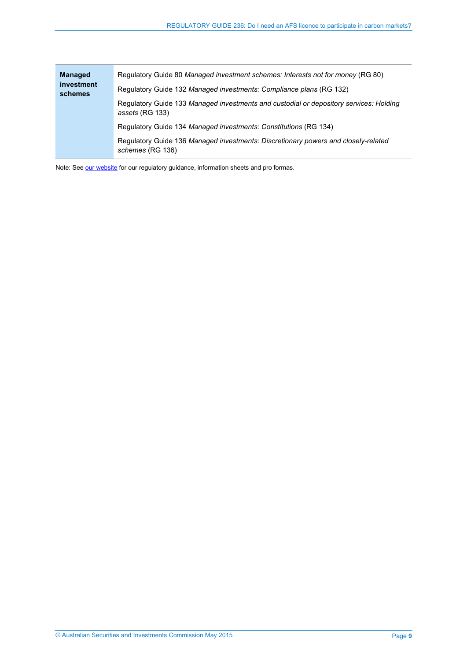| <b>Managed</b><br>investment<br>schemes | Requiatory Guide 80 Managed investment schemes: Interests not for money (RG 80)<br>Regulatory Guide 132 Managed investments: Compliance plans (RG 132)<br>Regulatory Guide 133 Managed investments and custodial or depository services: Holding<br>assets (RG 133) |
|-----------------------------------------|---------------------------------------------------------------------------------------------------------------------------------------------------------------------------------------------------------------------------------------------------------------------|
|                                         | Requiatory Guide 134 Managed investments: Constitutions (RG 134)<br>Regulatory Guide 136 Managed investments: Discretionary powers and closely-related<br>schemes (RG 136)                                                                                          |

Note: Se[e our website](http://www.asic.gov.au/) for our regulatory guidance, information sheets and pro formas.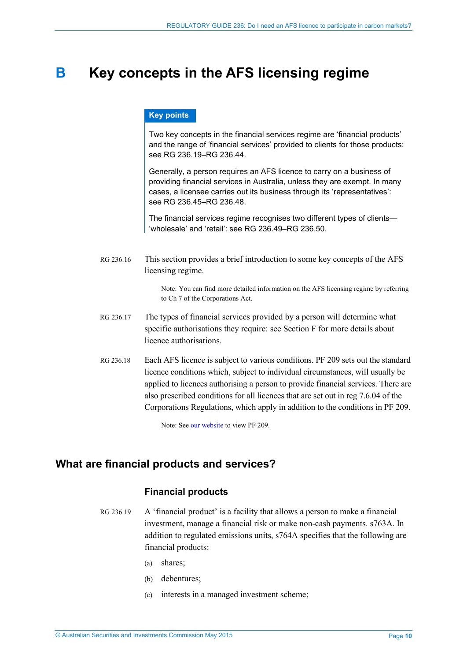## <span id="page-9-0"></span>**B Key concepts in the AFS licensing regime**

#### **Key points**

Two key concepts in the financial services regime are 'financial products' and the range of 'financial services' provided to clients for those products: see [RG 236.19–](#page-9-2)[RG 236.44.](#page-15-1)

Generally, a person requires an AFS licence to carry on a business of providing financial services in Australia, unless they are exempt. In many cases, a licensee carries out its business through its 'representatives': see [RG 236.45–](#page-15-2)[RG 236.48.](#page-16-0)

The financial services regime recognises two different types of clients— 'wholesale' and 'retail': see [RG 236.49](#page-16-1)[–RG 236.50.](#page-17-0)

RG 236.16 This section provides a brief introduction to some key concepts of the AFS licensing regime.

> Note: You can find more detailed information on the AFS licensing regime by referring to Ch 7 of the Corporations Act.

- RG 236.17 The types of financial services provided by a person will determine what specific authorisations they require: see Section [F](#page-47-0) for more details about licence authorisations.
- RG 236.18 Each AFS licence is subject to various conditions. PF 209 sets out the standard licence conditions which, subject to individual circumstances, will usually be applied to licences authorising a person to provide financial services. There are also prescribed conditions for all licences that are set out in reg 7.6.04 of the Corporations Regulations, which apply in addition to the conditions in PF 209.

Note: See [our website](http://asic.gov.au/for-finance-professionals/afs-licensees/applying-for-and-managing-an-afs-licence/australian-financial-services-licence-conditions-pro-forma-209/) to view PF 209.

## <span id="page-9-2"></span><span id="page-9-1"></span>**What are financial products and services?**

### **Financial products**

- RG 236.19 A 'financial product' is a facility that allows a person to make a financial investment, manage a financial risk or make non-cash payments. s763A. In addition to regulated emissions units, s764A specifies that the following are financial products:
	- (a) shares;
	- (b) debentures;
	- (c) interests in a managed investment scheme;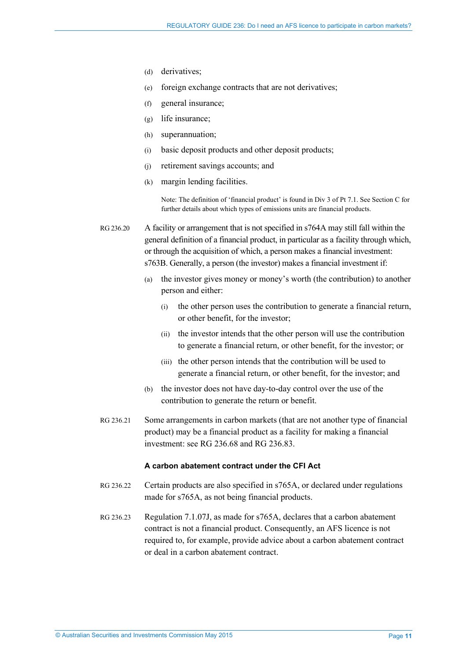- (d) derivatives;
- (e) foreign exchange contracts that are not derivatives;
- (f) general insurance;
- (g) life insurance;
- (h) superannuation;
- (i) basic deposit products and other deposit products;
- (j) retirement savings accounts; and
- (k) margin lending facilities.

Note: The definition of 'financial product' is found in Div 3 of Pt 7.1. See Sectio[n C](#page-18-0) for further details about which types of emissions units are financial products.

RG 236.20 A facility or arrangement that is not specified in s764A may still fall within the general definition of a financial product, in particular as a facility through which, or through the acquisition of which, a person makes a financial investment: s763B. Generally, a person (the investor) makes a financial investment if:

- (a) the investor gives money or money's worth (the contribution) to another person and either:
	- (i) the other person uses the contribution to generate a financial return, or other benefit, for the investor;
	- (ii) the investor intends that the other person will use the contribution to generate a financial return, or other benefit, for the investor; or
	- (iii) the other person intends that the contribution will be used to generate a financial return, or other benefit, for the investor; and
- (b) the investor does not have day-to-day control over the use of the contribution to generate the return or benefit.
- RG 236.21 Some arrangements in carbon markets (that are not another type of financial product) may be a financial product as a facility for making a financial investment: see [RG 236.68](#page-21-0) and [RG 236.83.](#page-24-0)

#### **A carbon abatement contract under the CFI Act**

- RG 236.22 Certain products are also specified in s765A, or declared under regulations made for s765A, as not being financial products.
- RG 236.23 Regulation 7.1.07J, as made for s765A, declares that a carbon abatement contract is not a financial product. Consequently, an AFS licence is not required to, for example, provide advice about a carbon abatement contract or deal in a carbon abatement contract.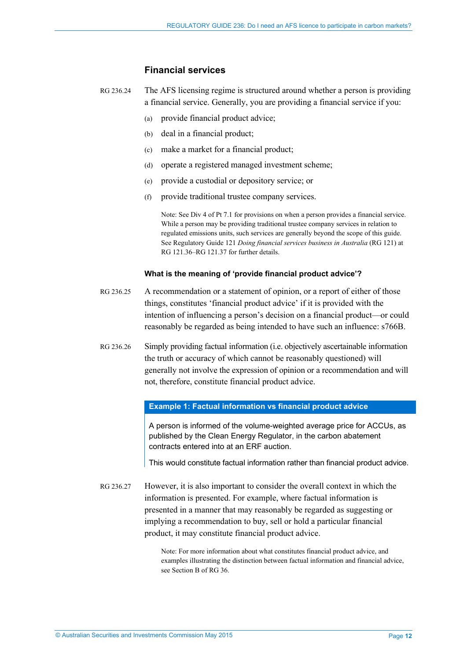#### **Financial services**

RG 236.24 The AFS licensing regime is structured around whether a person is providing a financial service. Generally, you are providing a financial service if you:

- (a) provide financial product advice;
- (b) deal in a financial product;
- (c) make a market for a financial product;
- (d) operate a registered managed investment scheme;
- (e) provide a custodial or depository service; or
- (f) provide traditional trustee company services.

Note: See Div 4 of Pt 7.1 for provisions on when a person provides a financial service. While a person may be providing traditional trustee company services in relation to regulated emissions units, such services are generally beyond the scope of this guide. See Regulatory Guide 121 *Doing financial services business in Australia* (RG 121) at RG 121.36–RG 121.37 for further details.

#### **What is the meaning of 'provide financial product advice'?**

- RG 236.25 A recommendation or a statement of opinion, or a report of either of those things, constitutes 'financial product advice' if it is provided with the intention of influencing a person's decision on a financial product—or could reasonably be regarded as being intended to have such an influence: s766B.
- RG 236.26 Simply providing factual information (i.e. objectively ascertainable information the truth or accuracy of which cannot be reasonably questioned) will generally not involve the expression of opinion or a recommendation and will not, therefore, constitute financial product advice.

#### **Example 1: Factual information vs financial product advice**

A person is informed of the volume-weighted average price for ACCUs, as published by the Clean Energy Regulator, in the carbon abatement contracts entered into at an ERF auction.

This would constitute factual information rather than financial product advice.

<span id="page-11-0"></span>RG 236.27 However, it is also important to consider the overall context in which the information is presented. For example, where factual information is presented in a manner that may reasonably be regarded as suggesting or implying a recommendation to buy, sell or hold a particular financial product, it may constitute financial product advice.

> Note: For more information about what constitutes financial product advice, and examples illustrating the distinction between factual information and financial advice, see Section B of RG 36.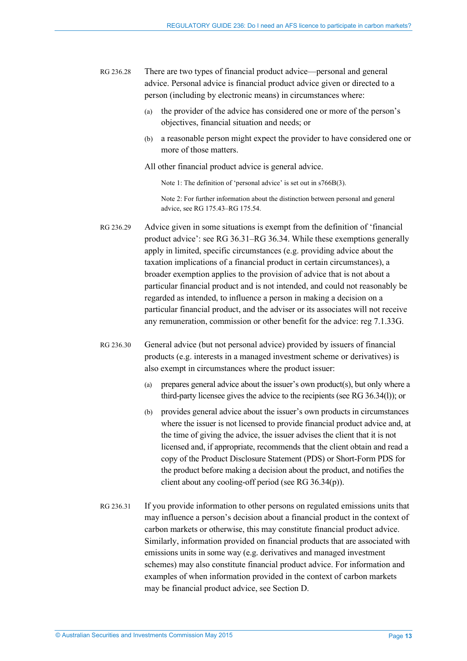- <span id="page-12-0"></span>RG 236.28 There are two types of financial product advice—personal and general advice. Personal advice is financial product advice given or directed to a person (including by electronic means) in circumstances where:
	- (a) the provider of the advice has considered one or more of the person's objectives, financial situation and needs; or
	- (b) a reasonable person might expect the provider to have considered one or more of those matters.
	- All other financial product advice is general advice.

Note 1: The definition of 'personal advice' is set out in s766B(3).

Note 2: For further information about the distinction between personal and general advice, see RG 175.43–RG 175.54.

- RG 236.29 Advice given in some situations is exempt from the definition of 'financial product advice': see RG 36.31–RG 36.34. While these exemptions generally apply in limited, specific circumstances (e.g. providing advice about the taxation implications of a financial product in certain circumstances), a broader exemption applies to the provision of advice that is not about a particular financial product and is not intended, and could not reasonably be regarded as intended, to influence a person in making a decision on a particular financial product, and the adviser or its associates will not receive any remuneration, commission or other benefit for the advice: reg 7.1.33G.
- RG 236.30 General advice (but not personal advice) provided by issuers of financial products (e.g. interests in a managed investment scheme or derivatives) is also exempt in circumstances where the product issuer:
	- (a) prepares general advice about the issuer's own product(s), but only where a third-party licensee gives the advice to the recipients (see RG 36.34(l)); or
	- (b) provides general advice about the issuer's own products in circumstances where the issuer is not licensed to provide financial product advice and, at the time of giving the advice, the issuer advises the client that it is not licensed and, if appropriate, recommends that the client obtain and read a copy of the Product Disclosure Statement (PDS) or Short-Form PDS for the product before making a decision about the product, and notifies the client about any cooling-off period (see RG 36.34(p)).
- RG 236.31 If you provide information to other persons on regulated emissions units that may influence a person's decision about a financial product in the context of carbon markets or otherwise, this may constitute financial product advice. Similarly, information provided on financial products that are associated with emissions units in some way (e.g. derivatives and managed investment schemes) may also constitute financial product advice. For information and examples of when information provided in the context of carbon markets may be financial product advice, see Section [D.](#page-29-0)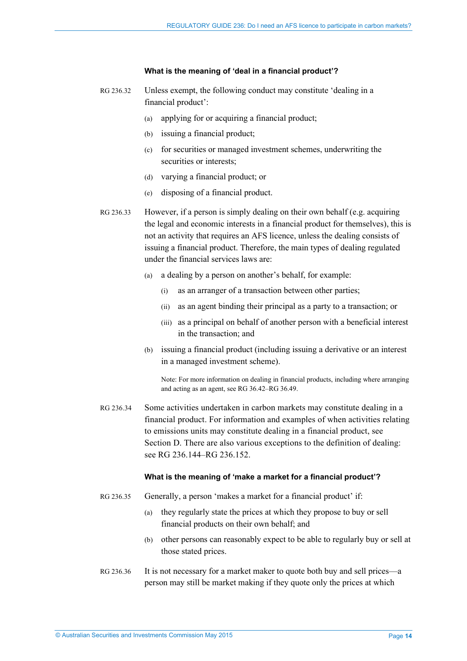#### **What is the meaning of 'deal in a financial product'?**

- RG 236.32 Unless exempt, the following conduct may constitute 'dealing in a financial product':
	- (a) applying for or acquiring a financial product;
	- (b) issuing a financial product;
	- (c) for securities or managed investment schemes, underwriting the securities or interests;
	- (d) varying a financial product; or
	- (e) disposing of a financial product.
- <span id="page-13-0"></span>RG 236.33 However, if a person is simply dealing on their own behalf (e.g. acquiring the legal and economic interests in a financial product for themselves), this is not an activity that requires an AFS licence, unless the dealing consists of issuing a financial product. Therefore, the main types of dealing regulated under the financial services laws are:
	- (a) a dealing by a person on another's behalf, for example:
		- (i) as an arranger of a transaction between other parties;
		- (ii) as an agent binding their principal as a party to a transaction; or
		- (iii) as a principal on behalf of another person with a beneficial interest in the transaction; and
	- (b) issuing a financial product (including issuing a derivative or an interest in a managed investment scheme).

Note: For more information on dealing in financial products, including where arranging and acting as an agent, see RG 36.42–RG 36.49.

RG 236.34 Some activities undertaken in carbon markets may constitute dealing in a financial product. For information and examples of when activities relating to emissions units may constitute dealing in a financial product, see Section [D.](#page-29-0) There are also various exceptions to the definition of dealing: see [RG 236.144–](#page-43-1)[RG 236.152.](#page-46-0)

#### **What is the meaning of 'make a market for a financial product'?**

- RG 236.35 Generally, a person 'makes a market for a financial product' if:
	- (a) they regularly state the prices at which they propose to buy or sell financial products on their own behalf; and
	- (b) other persons can reasonably expect to be able to regularly buy or sell at those stated prices.
- RG 236.36 It is not necessary for a market maker to quote both buy and sell prices—a person may still be market making if they quote only the prices at which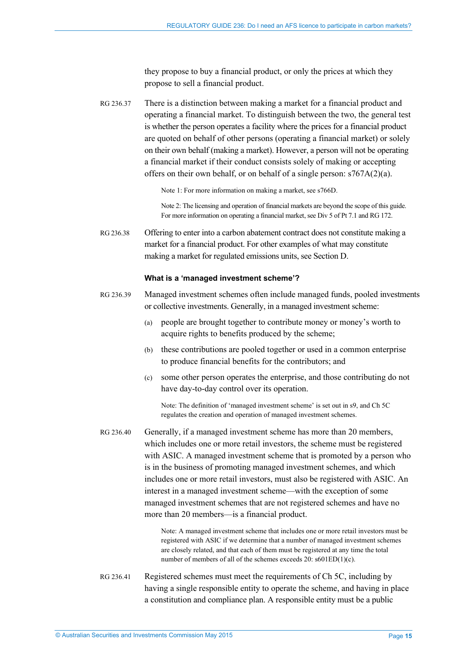they propose to buy a financial product, or only the prices at which they propose to sell a financial product.

RG 236.37 There is a distinction between making a market for a financial product and operating a financial market. To distinguish between the two, the general test is whether the person operates a facility where the prices for a financial product are quoted on behalf of other persons (operating a financial market) or solely on their own behalf (making a market). However, a person will not be operating a financial market if their conduct consists solely of making or accepting offers on their own behalf, or on behalf of a single person: s767A(2)(a).

Note 1: For more information on making a market, see s766D.

Note 2: The licensing and operation of financial markets are beyond the scope of this guide. For more information on operating a financial market, see Div 5 of Pt 7.1 and RG 172.

RG 236.38 Offering to enter into a carbon abatement contract does not constitute making a market for a financial product. For other examples of what may constitute making a market for regulated emissions units, see Section [D.](#page-29-0)

#### **What is a 'managed investment scheme'?**

- <span id="page-14-0"></span>RG 236.39 Managed investment schemes often include managed funds, pooled investments or collective investments. Generally, in a managed investment scheme:
	- (a) people are brought together to contribute money or money's worth to acquire rights to benefits produced by the scheme;
	- (b) these contributions are pooled together or used in a common enterprise to produce financial benefits for the contributors; and
	- (c) some other person operates the enterprise, and those contributing do not have day-to-day control over its operation.

Note: The definition of 'managed investment scheme' is set out in s9, and Ch 5C regulates the creation and operation of managed investment schemes.

RG 236.40 Generally, if a managed investment scheme has more than 20 members, which includes one or more retail investors, the scheme must be registered with ASIC. A managed investment scheme that is promoted by a person who is in the business of promoting managed investment schemes, and which includes one or more retail investors, must also be registered with ASIC. An interest in a managed investment scheme—with the exception of some managed investment schemes that are not registered schemes and have no more than 20 members—is a financial product.

> Note: A managed investment scheme that includes one or more retail investors must be registered with ASIC if we determine that a number of managed investment schemes are closely related, and that each of them must be registered at any time the total number of members of all of the schemes exceeds 20:  $s601ED(1)(c)$ .

RG 236.41 Registered schemes must meet the requirements of Ch 5C, including by having a single responsible entity to operate the scheme, and having in place a constitution and compliance plan. A responsible entity must be a public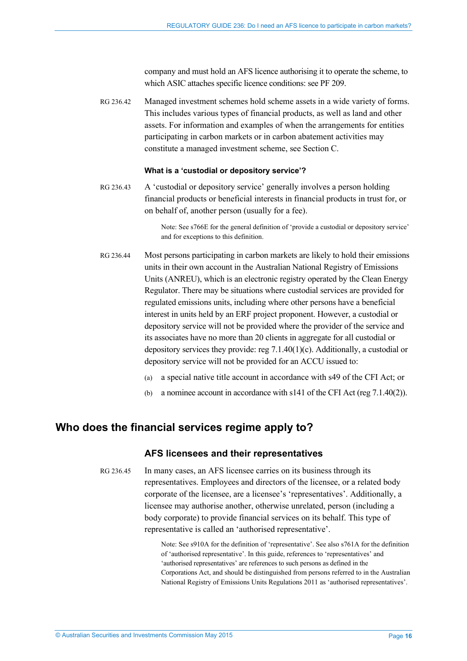company and must hold an AFS licence authorising it to operate the scheme, to which ASIC attaches specific licence conditions: see PF 209.

<span id="page-15-3"></span>RG 236.42 Managed investment schemes hold scheme assets in a wide variety of forms. This includes various types of financial products, as well as land and other assets. For information and examples of when the arrangements for entities participating in carbon markets or in carbon abatement activities may constitute a managed investment scheme, see Section [C.](#page-18-0)

#### **What is a 'custodial or depository service'?**

RG 236.43 A 'custodial or depository service' generally involves a person holding financial products or beneficial interests in financial products in trust for, or on behalf of, another person (usually for a fee).

> Note: See s766E for the general definition of 'provide a custodial or depository service' and for exceptions to this definition.

- <span id="page-15-1"></span>RG 236.44 Most persons participating in carbon markets are likely to hold their emissions units in their own account in the Australian National Registry of Emissions Units (ANREU), which is an electronic registry operated by the Clean Energy Regulator. There may be situations where custodial services are provided for regulated emissions units, including where other persons have a beneficial interest in units held by an ERF project proponent. However, a custodial or depository service will not be provided where the provider of the service and its associates have no more than 20 clients in aggregate for all custodial or depository services they provide: reg 7.1.40(1)(c). Additionally, a custodial or depository service will not be provided for an ACCU issued to:
	- (a) a special native title account in accordance with s49 of the CFI Act; or
	- (b) a nominee account in accordance with s141 of the CFI Act (reg 7.1.40(2)).

### <span id="page-15-2"></span><span id="page-15-0"></span>**Who does the financial services regime apply to?**

#### **AFS licensees and their representatives**

RG 236.45 In many cases, an AFS licensee carries on its business through its representatives. Employees and directors of the licensee, or a related body corporate of the licensee, are a licensee's 'representatives'. Additionally, a licensee may authorise another, otherwise unrelated, person (including a body corporate) to provide financial services on its behalf. This type of representative is called an 'authorised representative'.

> Note: See s910A for the definition of 'representative'. See also s761A for the definition of 'authorised representative'. In this guide, references to 'representatives' and 'authorised representatives' are references to such persons as defined in the Corporations Act, and should be distinguished from persons referred to in the Australian National Registry of Emissions Units Regulations 2011 as 'authorised representatives'.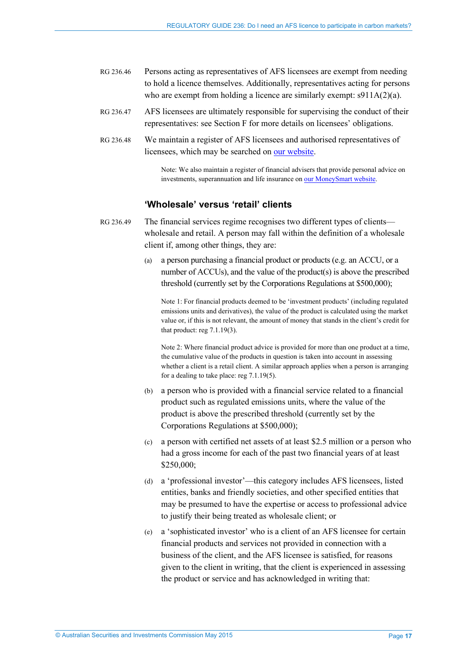| RG 236.46 | Persons acting as representatives of AFS licensees are exempt from needing     |
|-----------|--------------------------------------------------------------------------------|
|           | to hold a licence themselves. Additionally, representatives acting for persons |
|           | who are exempt from holding a licence are similarly exempt: $s911A(2)(a)$ .    |

- RG 236.47 AFS licensees are ultimately responsible for supervising the conduct of their representatives: see Sectio[n F](#page-47-0) for more details on licensees' obligations.
- <span id="page-16-0"></span>RG 236.48 We maintain a register of AFS licensees and authorised representatives of licensees, which may be searched on [our website.](http://www.asic.gov.au/)

Note: We also maintain a register of financial advisers that provide personal advice on investments, superannuation and life insurance on [our MoneySmart website.](https://www.moneysmart.gov.au/investing/financial-advice/financial-advisers-register)

#### **'Wholesale' versus 'retail' clients**

- <span id="page-16-1"></span>RG 236.49 The financial services regime recognises two different types of clients wholesale and retail. A person may fall within the definition of a wholesale client if, among other things, they are:
	- (a) a person purchasing a financial product or products (e.g. an ACCU, or a number of ACCUs), and the value of the product(s) is above the prescribed threshold (currently set by the Corporations Regulations at \$500,000);

Note 1: For financial products deemed to be 'investment products' (including regulated emissions units and derivatives), the value of the product is calculated using the market value or, if this is not relevant, the amount of money that stands in the client's credit for that product: reg 7.1.19(3).

Note 2: Where financial product advice is provided for more than one product at a time, the cumulative value of the products in question is taken into account in assessing whether a client is a retail client. A similar approach applies when a person is arranging for a dealing to take place: reg 7.1.19(5).

- (b) a person who is provided with a financial service related to a financial product such as regulated emissions units, where the value of the product is above the prescribed threshold (currently set by the Corporations Regulations at \$500,000);
- (c) a person with certified net assets of at least \$2.5 million or a person who had a gross income for each of the past two financial years of at least \$250,000;
- (d) a 'professional investor'—this category includes AFS licensees, listed entities, banks and friendly societies, and other specified entities that may be presumed to have the expertise or access to professional advice to justify their being treated as wholesale client; or
- (e) a 'sophisticated investor' who is a client of an AFS licensee for certain financial products and services not provided in connection with a business of the client, and the AFS licensee is satisfied, for reasons given to the client in writing, that the client is experienced in assessing the product or service and has acknowledged in writing that: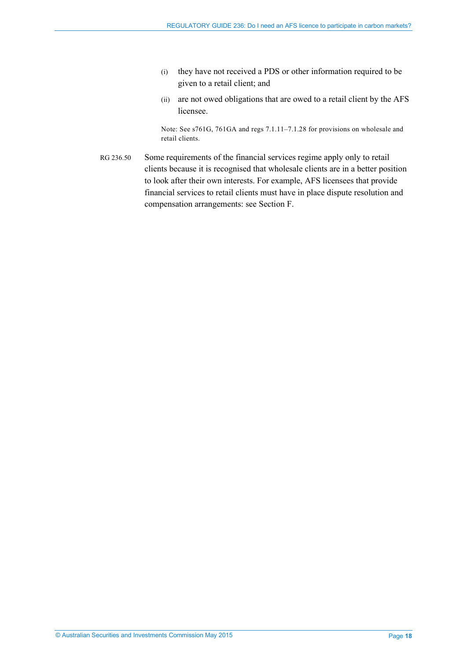- (i) they have not received a PDS or other information required to be given to a retail client; and
- (ii) are not owed obligations that are owed to a retail client by the AFS licensee.

Note: See s761G, 761GA and regs 7.1.11–7.1.28 for provisions on wholesale and retail clients.

<span id="page-17-0"></span>RG 236.50 Some requirements of the financial services regime apply only to retail clients because it is recognised that wholesale clients are in a better position to look after their own interests. For example, AFS licensees that provide financial services to retail clients must have in place dispute resolution and compensation arrangements: see Sectio[n F.](#page-47-0)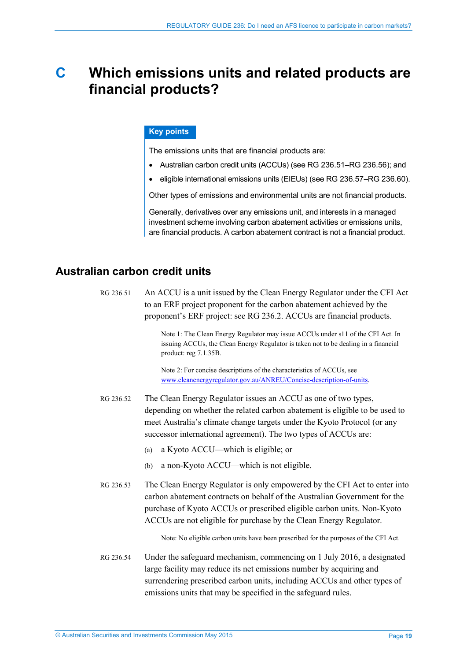## <span id="page-18-0"></span>**C Which emissions units and related products are financial products?**

#### **Key points**

The emissions units that are financial products are:

- Australian carbon credit units (ACCUs) (see RG [236.51–](#page-18-2)RG [236.56\)](#page-19-1); and
- eligible international emissions units (EIEUs) (see RG [236.57–](#page-19-2)RG [236.60\)](#page-19-3).

Other types of emissions and environmental units are not financial products.

Generally, derivatives over any emissions unit, and interests in a managed investment scheme involving carbon abatement activities or emissions units, are financial products. A carbon abatement contract is not a financial product.

### <span id="page-18-2"></span><span id="page-18-1"></span>**Australian carbon credit units**

| RG 236.51 | An ACCU is a unit issued by the Clean Energy Regulator under the CFI Act<br>to an ERF project proponent for the carbon abatement achieved by the<br>proponent's ERF project: see RG 236.2. ACCUs are financial products.                                                                               |
|-----------|--------------------------------------------------------------------------------------------------------------------------------------------------------------------------------------------------------------------------------------------------------------------------------------------------------|
|           | Note 1: The Clean Energy Regulator may issue ACCUs under s11 of the CFI Act. In<br>issuing ACCUs, the Clean Energy Regulator is taken not to be dealing in a financial<br>product: reg 7.1.35B.                                                                                                        |
|           | Note 2: For concise descriptions of the characteristics of ACCUs, see<br>www.cleanenergyregulator.gov.au/ANREU/Concise-description-of-units.                                                                                                                                                           |
| RG 236.52 | The Clean Energy Regulator issues an ACCU as one of two types,<br>depending on whether the related carbon abatement is eligible to be used to<br>meet Australia's climate change targets under the Kyoto Protocol (or any<br>successor international agreement). The two types of ACCUs are:           |
|           | a Kyoto ACCU-which is eligible; or<br>(a)                                                                                                                                                                                                                                                              |
|           | a non-Kyoto ACCU—which is not eligible.<br>(b)                                                                                                                                                                                                                                                         |
| RG 236.53 | The Clean Energy Regulator is only empowered by the CFI Act to enter into<br>carbon abatement contracts on behalf of the Australian Government for the<br>purchase of Kyoto ACCUs or prescribed eligible carbon units. Non-Kyoto<br>ACCUs are not eligible for purchase by the Clean Energy Regulator. |
|           | Note: No eligible carbon units have been prescribed for the purposes of the CFI Act.                                                                                                                                                                                                                   |
| RG 236.54 | Under the safeguard mechanism, commencing on 1 July 2016, a designated<br>large facility may reduce its net emissions number by acquiring and<br>surrendering prescribed carbon units, including ACCUs and other types of<br>emissions units that may be specified in the safeguard rules.             |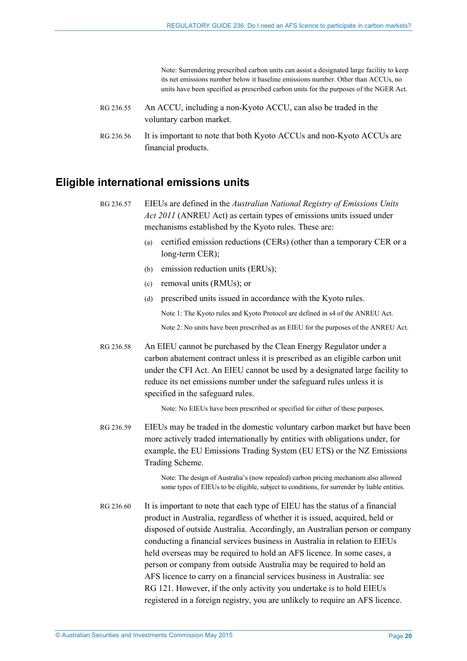Note: Surrendering prescribed carbon units can assist a designated large facility to keep its net emissions number below it baseline emissions number. Other than ACCUs, no units have been specified as prescribed carbon units for the purposes of the NGER Act.

- RG 236.55 An ACCU, including a non-Kyoto ACCU, can also be traded in the voluntary carbon market.
- <span id="page-19-1"></span>RG 236.56 It is important to note that both Kyoto ACCUs and non-Kyoto ACCUs are financial products.

### <span id="page-19-2"></span><span id="page-19-0"></span>**Eligible international emissions units**

- RG 236.57 EIEUs are defined in the *Australian National Registry of Emissions Units Act 2011* (ANREU Act) as certain types of emissions units issued under mechanisms established by the Kyoto rules. These are:
	- (a) certified emission reductions (CERs) (other than a temporary CER or a long-term CER);
	- (b) emission reduction units (ERUs);
	- (c) removal units (RMUs); or
	- (d) prescribed units issued in accordance with the Kyoto rules. Note 1: The Kyoto rules and Kyoto Protocol are defined in s4 of the ANREU Act. Note 2: No units have been prescribed as an EIEU for the purposes of the ANREU Act.
- RG 236.58 An EIEU cannot be purchased by the Clean Energy Regulator under a carbon abatement contract unless it is prescribed as an eligible carbon unit under the CFI Act. An EIEU cannot be used by a designated large facility to reduce its net emissions number under the safeguard rules unless it is specified in the safeguard rules.

Note: No EIEUs have been prescribed or specified for either of these purposes.

RG 236.59 EIEUs may be traded in the domestic voluntary carbon market but have been more actively traded internationally by entities with obligations under, for example, the EU Emissions Trading System (EU ETS) or the NZ Emissions Trading Scheme.

> Note: The design of Australia's (now repealed) carbon pricing mechanism also allowed some types of EIEUs to be eligible, subject to conditions, for surrender by liable entities.

<span id="page-19-3"></span>RG 236.60 It is important to note that each type of EIEU has the status of a financial product in Australia, regardless of whether it is issued, acquired, held or disposed of outside Australia. Accordingly, an Australian person or company conducting a financial services business in Australia in relation to EIEUs held overseas may be required to hold an AFS licence. In some cases, a person or company from outside Australia may be required to hold an AFS licence to carry on a financial services business in Australia: see RG 121. However, if the only activity you undertake is to hold EIEUs registered in a foreign registry, you are unlikely to require an AFS licence.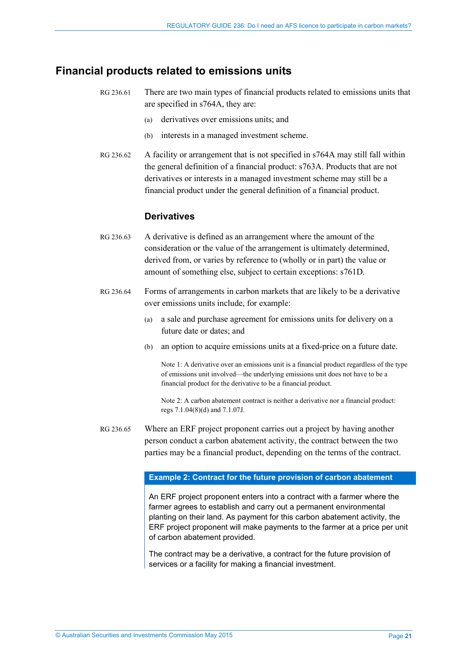### <span id="page-20-0"></span>**Financial products related to emissions units**

- RG 236.61 There are two main types of financial products related to emissions units that are specified in s764A, they are:
	- (a) derivatives over emissions units; and
	- (b) interests in a managed investment scheme.
- RG 236.62 A facility or arrangement that is not specified in s764A may still fall within the general definition of a financial product: s763A. Products that are not derivatives or interests in a managed investment scheme may still be a financial product under the general definition of a financial product.

#### **Derivatives**

- <span id="page-20-1"></span>RG 236.63 A derivative is defined as an arrangement where the amount of the consideration or the value of the arrangement is ultimately determined, derived from, or varies by reference to (wholly or in part) the value or amount of something else, subject to certain exceptions: s761D.
- RG 236.64 Forms of arrangements in carbon markets that are likely to be a derivative over emissions units include, for example:
	- (a) a sale and purchase agreement for emissions units for delivery on a future date or dates; and
	- (b) an option to acquire emissions units at a fixed-price on a future date.

Note 1: A derivative over an emissions unit is a financial product regardless of the type of emissions unit involved—the underlying emissions unit does not have to be a financial product for the derivative to be a financial product.

Note 2: A carbon abatement contract is neither a derivative nor a financial product: regs 7.1.04(8)(d) and 7.1.07J.

RG 236.65 Where an ERF project proponent carries out a project by having another person conduct a carbon abatement activity, the contract between the two parties may be a financial product, depending on the terms of the contract.

#### **Example 2: Contract for the future provision of carbon abatement**

An ERF project proponent enters into a contract with a farmer where the farmer agrees to establish and carry out a permanent environmental planting on their land. As payment for this carbon abatement activity, the ERF project proponent will make payments to the farmer at a price per unit of carbon abatement provided.

The contract may be a derivative, a contract for the future provision of services or a facility for making a financial investment.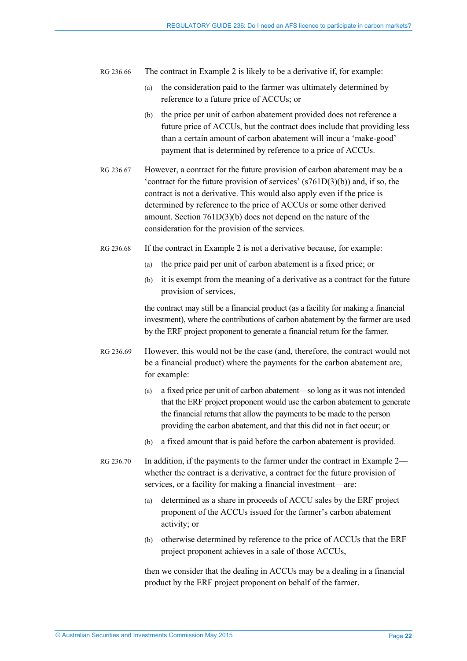- RG 236.66 The contract in Example 2 is likely to be a derivative if, for example:
	- (a) the consideration paid to the farmer was ultimately determined by reference to a future price of ACCUs; or
	- (b) the price per unit of carbon abatement provided does not reference a future price of ACCUs, but the contract does include that providing less than a certain amount of carbon abatement will incur a 'make-good' payment that is determined by reference to a price of ACCUs.
- RG 236.67 However, a contract for the future provision of carbon abatement may be a 'contract for the future provision of services' (s761D(3)(b)) and, if so, the contract is not a derivative. This would also apply even if the price is determined by reference to the price of ACCUs or some other derived amount. Section 761D(3)(b) does not depend on the nature of the consideration for the provision of the services.
- <span id="page-21-0"></span>RG 236.68 If the contract in Example 2 is not a derivative because, for example:
	- (a) the price paid per unit of carbon abatement is a fixed price; or
	- (b) it is exempt from the meaning of a derivative as a contract for the future provision of services,

the contract may still be a financial product (as a facility for making a financial investment), where the contributions of carbon abatement by the farmer are used by the ERF project proponent to generate a financial return for the farmer.

- RG 236.69 However, this would not be the case (and, therefore, the contract would not be a financial product) where the payments for the carbon abatement are, for example:
	- (a) a fixed price per unit of carbon abatement—so long as it was not intended that the ERF project proponent would use the carbon abatement to generate the financial returns that allow the payments to be made to the person providing the carbon abatement, and that this did not in fact occur; or
	- (b) a fixed amount that is paid before the carbon abatement is provided.
- <span id="page-21-1"></span>RG 236.70 In addition, if the payments to the farmer under the contract in Example 2 whether the contract is a derivative, a contract for the future provision of services, or a facility for making a financial investment—are:
	- (a) determined as a share in proceeds of ACCU sales by the ERF project proponent of the ACCUs issued for the farmer's carbon abatement activity; or
	- (b) otherwise determined by reference to the price of ACCUs that the ERF project proponent achieves in a sale of those ACCUs,

then we consider that the dealing in ACCUs may be a dealing in a financial product by the ERF project proponent on behalf of the farmer.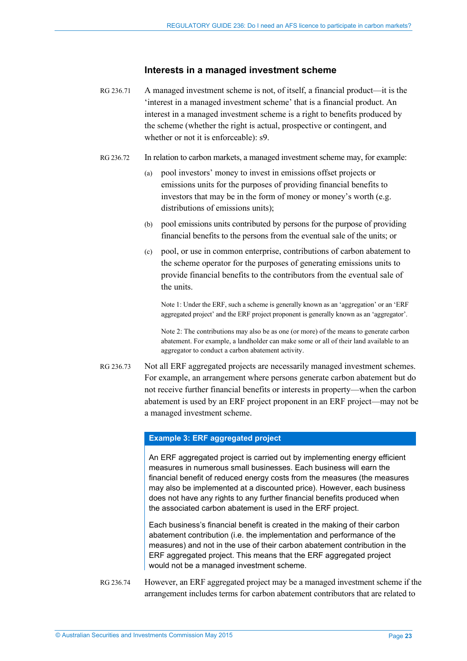#### **Interests in a managed investment scheme**

- RG 236.71 A managed investment scheme is not, of itself, a financial product—it is the 'interest in a managed investment scheme' that is a financial product. An interest in a managed investment scheme is a right to benefits produced by the scheme (whether the right is actual, prospective or contingent, and whether or not it is enforceable): s9.
- RG 236.72 In relation to carbon markets, a managed investment scheme may, for example:
	- (a) pool investors' money to invest in emissions offset projects or emissions units for the purposes of providing financial benefits to investors that may be in the form of money or money's worth (e.g. distributions of emissions units);
	- (b) pool emissions units contributed by persons for the purpose of providing financial benefits to the persons from the eventual sale of the units; or
	- (c) pool, or use in common enterprise, contributions of carbon abatement to the scheme operator for the purposes of generating emissions units to provide financial benefits to the contributors from the eventual sale of the units.

Note 1: Under the ERF, such a scheme is generally known as an 'aggregation' or an 'ERF aggregated project' and the ERF project proponent is generally known as an 'aggregator'.

Note 2: The contributions may also be as one (or more) of the means to generate carbon abatement. For example, a landholder can make some or all of their land available to an aggregator to conduct a carbon abatement activity.

RG 236.73 Not all ERF aggregated projects are necessarily managed investment schemes. For example, an arrangement where persons generate carbon abatement but do not receive further financial benefits or interests in property—when the carbon abatement is used by an ERF project proponent in an ERF project—may not be a managed investment scheme.

#### **Example 3: ERF aggregated project**

An ERF aggregated project is carried out by implementing energy efficient measures in numerous small businesses. Each business will earn the financial benefit of reduced energy costs from the measures (the measures may also be implemented at a discounted price). However, each business does not have any rights to any further financial benefits produced when the associated carbon abatement is used in the ERF project.

Each business's financial benefit is created in the making of their carbon abatement contribution (i.e. the implementation and performance of the measures) and not in the use of their carbon abatement contribution in the ERF aggregated project. This means that the ERF aggregated project would not be a managed investment scheme.

RG 236.74 However, an ERF aggregated project may be a managed investment scheme if the arrangement includes terms for carbon abatement contributors that are related to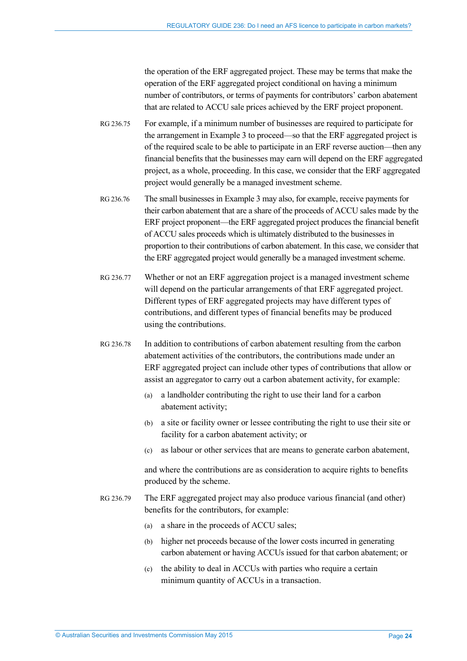the operation of the ERF aggregated project. These may be terms that make the operation of the ERF aggregated project conditional on having a minimum number of contributors, or terms of payments for contributors' carbon abatement that are related to ACCU sale prices achieved by the ERF project proponent.

- RG 236.75 For example, if a minimum number of businesses are required to participate for the arrangement in Example 3 to proceed—so that the ERF aggregated project is of the required scale to be able to participate in an ERF reverse auction—then any financial benefits that the businesses may earn will depend on the ERF aggregated project, as a whole, proceeding. In this case, we consider that the ERF aggregated project would generally be a managed investment scheme.
- RG 236.76 The small businesses in Example 3 may also, for example, receive payments for their carbon abatement that are a share of the proceeds of ACCU sales made by the ERF project proponent—the ERF aggregated project produces the financial benefit of ACCU sales proceeds which is ultimately distributed to the businesses in proportion to their contributions of carbon abatement. In this case, we consider that the ERF aggregated project would generally be a managed investment scheme.
- <span id="page-23-0"></span>RG 236.77 Whether or not an ERF aggregation project is a managed investment scheme will depend on the particular arrangements of that ERF aggregated project. Different types of ERF aggregated projects may have different types of contributions, and different types of financial benefits may be produced using the contributions.
- RG 236.78 In addition to contributions of carbon abatement resulting from the carbon abatement activities of the contributors, the contributions made under an ERF aggregated project can include other types of contributions that allow or assist an aggregator to carry out a carbon abatement activity, for example:
	- (a) a landholder contributing the right to use their land for a carbon abatement activity;
	- (b) a site or facility owner or lessee contributing the right to use their site or facility for a carbon abatement activity; or
	- (c) as labour or other services that are means to generate carbon abatement,

and where the contributions are as consideration to acquire rights to benefits produced by the scheme.

- RG 236.79 The ERF aggregated project may also produce various financial (and other) benefits for the contributors, for example:
	- (a) a share in the proceeds of ACCU sales;
	- (b) higher net proceeds because of the lower costs incurred in generating carbon abatement or having ACCUs issued for that carbon abatement; or
	- (c) the ability to deal in ACCUs with parties who require a certain minimum quantity of ACCUs in a transaction.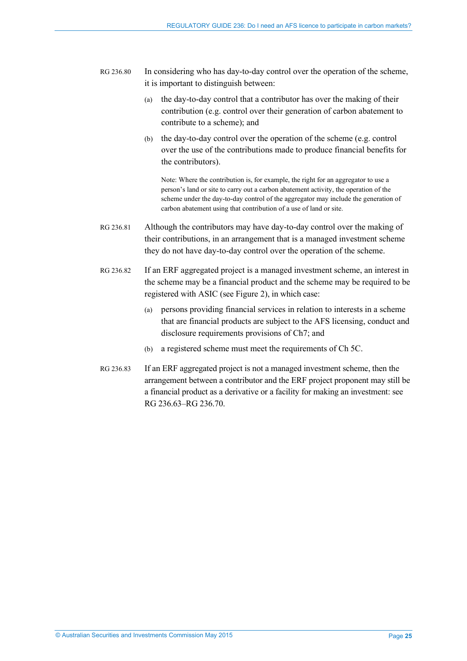- RG 236.80 In considering who has day-to-day control over the operation of the scheme, it is important to distinguish between:
	- (a) the day-to-day control that a contributor has over the making of their contribution (e.g. control over their generation of carbon abatement to contribute to a scheme); and
	- (b) the day-to-day control over the operation of the scheme (e.g. control over the use of the contributions made to produce financial benefits for the contributors).

Note: Where the contribution is, for example, the right for an aggregator to use a person's land or site to carry out a carbon abatement activity, the operation of the scheme under the day-to-day control of the aggregator may include the generation of carbon abatement using that contribution of a use of land or site.

- RG 236.81 Although the contributors may have day-to-day control over the making of their contributions, in an arrangement that is a managed investment scheme they do not have day-to-day control over the operation of the scheme.
- RG 236.82 If an ERF aggregated project is a managed investment scheme, an interest in the scheme may be a financial product and the scheme may be required to be registered with ASIC (se[e Figure 2\)](#page-25-0), in which case:
	- (a) persons providing financial services in relation to interests in a scheme that are financial products are subject to the AFS licensing, conduct and disclosure requirements provisions of Ch7; and
	- (b) a registered scheme must meet the requirements of Ch 5C.
- <span id="page-24-0"></span>RG 236.83 If an ERF aggregated project is not a managed investment scheme, then the arrangement between a contributor and the ERF project proponent may still be a financial product as a derivative or a facility for making an investment: see [RG 236.63–](#page-20-1)[RG 236.70.](#page-21-1)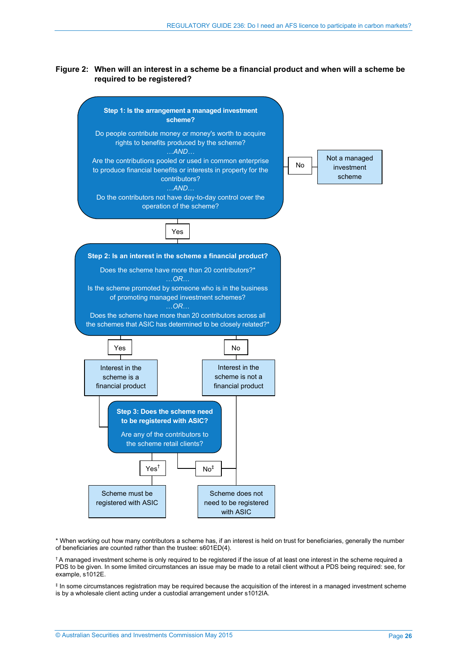#### <span id="page-25-0"></span>**Figure 2: When will an interest in a scheme be a financial product and when will a scheme be required to be registered?**



\* When working out how many contributors a scheme has, if an interest is held on trust for beneficiaries, generally the number of beneficiaries are counted rather than the trustee: s601ED(4).

† A managed investment scheme is only required to be registered if the issue of at least one interest in the scheme required a PDS to be given. In some limited circumstances an issue may be made to a retail client without a PDS being required: see, for example, s1012E.

‡ In some circumstances registration may be required because the acquisition of the interest in a managed investment scheme is by a wholesale client acting under a custodial arrangement under s1012IA.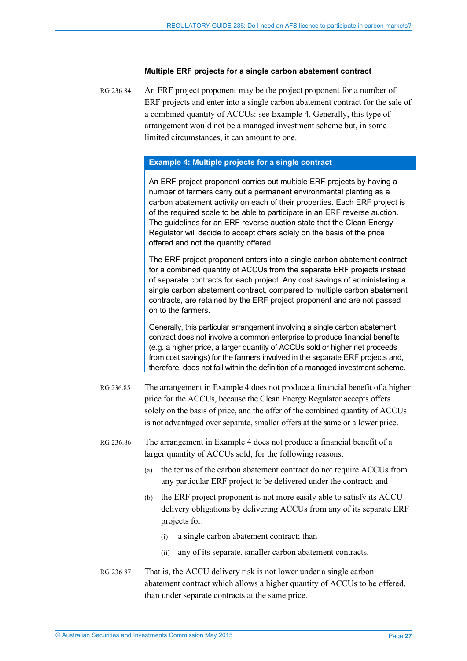#### **Multiple ERF projects for a single carbon abatement contract**

RG 236.84 An ERF project proponent may be the project proponent for a number of ERF projects and enter into a single carbon abatement contract for the sale of a combined quantity of ACCUs: see Example 4. Generally, this type of arrangement would not be a managed investment scheme but, in some limited circumstances, it can amount to one.

#### **Example 4: Multiple projects for a single contract**

An ERF project proponent carries out multiple ERF projects by having a number of farmers carry out a permanent environmental planting as a carbon abatement activity on each of their properties. Each ERF project is of the required scale to be able to participate in an ERF reverse auction. The guidelines for an ERF reverse auction state that the Clean Energy Regulator will decide to accept offers solely on the basis of the price offered and not the quantity offered.

The ERF project proponent enters into a single carbon abatement contract for a combined quantity of ACCUs from the separate ERF projects instead of separate contracts for each project. Any cost savings of administering a single carbon abatement contract, compared to multiple carbon abatement contracts, are retained by the ERF project proponent and are not passed on to the farmers.

Generally, this particular arrangement involving a single carbon abatement contract does not involve a common enterprise to produce financial benefits (e.g. a higher price, a larger quantity of ACCUs sold or higher net proceeds from cost savings) for the farmers involved in the separate ERF projects and, therefore, does not fall within the definition of a managed investment scheme.

- RG 236.85 The arrangement in Example 4 does not produce a financial benefit of a higher price for the ACCUs, because the Clean Energy Regulator accepts offers solely on the basis of price, and the offer of the combined quantity of ACCUs is not advantaged over separate, smaller offers at the same or a lower price.
- RG 236.86 The arrangement in Example 4 does not produce a financial benefit of a larger quantity of ACCUs sold, for the following reasons:
	- (a) the terms of the carbon abatement contract do not require ACCUs from any particular ERF project to be delivered under the contract; and
	- (b) the ERF project proponent is not more easily able to satisfy its ACCU delivery obligations by delivering ACCUs from any of its separate ERF projects for:
		- (i) a single carbon abatement contract; than
		- (ii) any of its separate, smaller carbon abatement contracts.
- RG 236.87 That is, the ACCU delivery risk is not lower under a single carbon abatement contract which allows a higher quantity of ACCUs to be offered, than under separate contracts at the same price.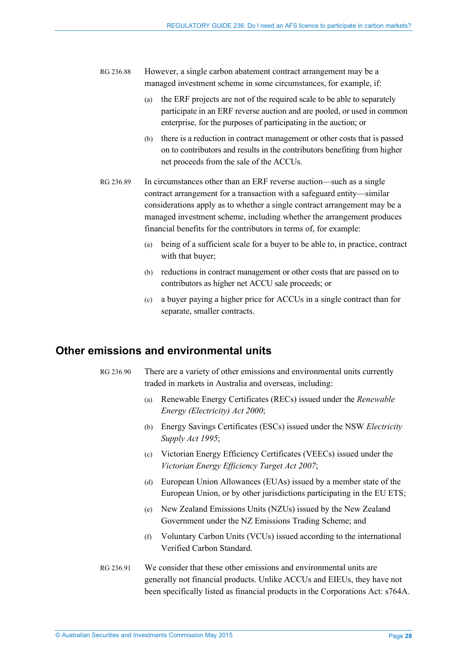RG 236.88 However, a single carbon abatement contract arrangement may be a managed investment scheme in some circumstances, for example, if:

- (a) the ERF projects are not of the required scale to be able to separately participate in an ERF reverse auction and are pooled, or used in common enterprise, for the purposes of participating in the auction; or
- (b) there is a reduction in contract management or other costs that is passed on to contributors and results in the contributors benefiting from higher net proceeds from the sale of the ACCUs.
- RG 236.89 In circumstances other than an ERF reverse auction—such as a single contract arrangement for a transaction with a safeguard entity—similar considerations apply as to whether a single contract arrangement may be a managed investment scheme, including whether the arrangement produces financial benefits for the contributors in terms of, for example:
	- (a) being of a sufficient scale for a buyer to be able to, in practice, contract with that buyer;
	- (b) reductions in contract management or other costs that are passed on to contributors as higher net ACCU sale proceeds; or
	- (c) a buyer paying a higher price for ACCUs in a single contract than for separate, smaller contracts.

### <span id="page-27-1"></span><span id="page-27-0"></span>**Other emissions and environmental units**

RG 236.90 There are a variety of other emissions and environmental units currently traded in markets in Australia and overseas, including:

- (a) Renewable Energy Certificates (RECs) issued under the *Renewable Energy (Electricity) Act 2000*;
- (b) Energy Savings Certificates (ESCs) issued under the NSW *Electricity Supply Act 1995*;
- (c) Victorian Energy Efficiency Certificates (VEECs) issued under the *Victorian Energy Efficiency Target Act 2007*;
- (d) European Union Allowances (EUAs) issued by a member state of the European Union, or by other jurisdictions participating in the EU ETS;
- (e) New Zealand Emissions Units (NZUs) issued by the New Zealand Government under the NZ Emissions Trading Scheme; and
- (f) Voluntary Carbon Units (VCUs) issued according to the international Verified Carbon Standard.
- RG 236.91 We consider that these other emissions and environmental units are generally not financial products. Unlike ACCUs and EIEUs, they have not been specifically listed as financial products in the Corporations Act: s764A.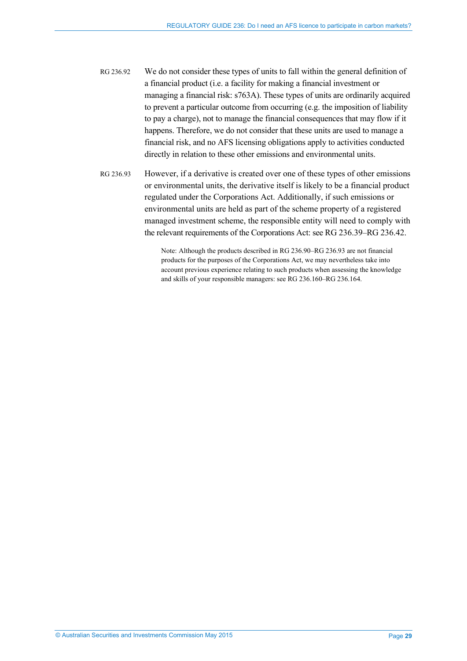- RG 236.92 We do not consider these types of units to fall within the general definition of a financial product (i.e. a facility for making a financial investment or managing a financial risk: s763A). These types of units are ordinarily acquired to prevent a particular outcome from occurring (e.g. the imposition of liability to pay a charge), not to manage the financial consequences that may flow if it happens. Therefore, we do not consider that these units are used to manage a financial risk, and no AFS licensing obligations apply to activities conducted directly in relation to these other emissions and environmental units.
- <span id="page-28-0"></span>RG 236.93 However, if a derivative is created over one of these types of other emissions or environmental units, the derivative itself is likely to be a financial product regulated under the Corporations Act. Additionally, if such emissions or environmental units are held as part of the scheme property of a registered managed investment scheme, the responsible entity will need to comply with the relevant requirements of the Corporations Act: se[e RG 236.39–](#page-14-0)[RG 236.42.](#page-15-3)

Note: Although the products described i[n RG 236.90](#page-27-1)[–RG 236.93](#page-28-0) are not financial products for the purposes of the Corporations Act, we may nevertheless take into account previous experience relating to such products when assessing the knowledge and skills of your responsible managers: see [RG 236.160](#page-49-0)[–RG 236.164.](#page-49-1)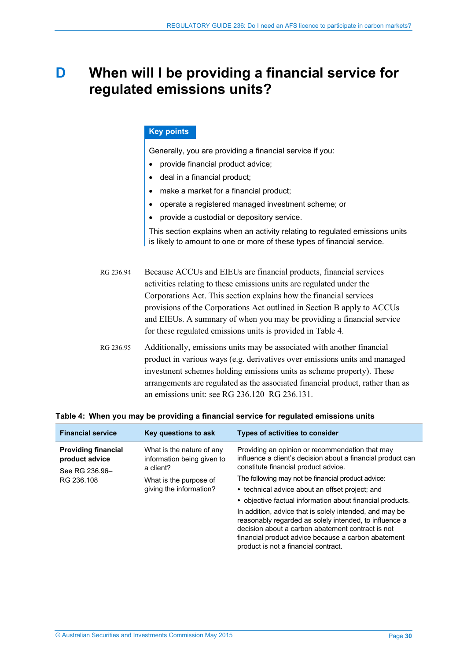## <span id="page-29-0"></span>**D When will I be providing a financial service for regulated emissions units?**

#### **Key points**

Generally, you are providing a financial service if you:

- provide financial product advice;
- deal in a financial product;
- make a market for a financial product;
- operate a registered managed investment scheme; or
- provide a custodial or depository service.

This section explains when an activity relating to regulated emissions units is likely to amount to one or more of these types of financial service.

- RG 236.94 Because ACCUs and EIEUs are financial products, financial services activities relating to these emissions units are regulated under the Corporations Act. This section explains how the financial services provisions of the Corporations Act outlined in Section [B](#page-9-0) apply to ACCUs and EIEUs. A summary of when you may be providing a financial service for these regulated emissions units is provided in [Table 4.](#page-29-1)
- RG 236.95 Additionally, emissions units may be associated with another financial product in various ways (e.g. derivatives over emissions units and managed investment schemes holding emissions units as scheme property). These arrangements are regulated as the associated financial product, rather than as an emissions unit: see [RG 236.120](#page-36-2)[–RG 236.131.](#page-40-0)

| <b>Financial service</b>                     | Key questions to ask                                    | <b>Types of activities to consider</b>                                                                                                                                                                                                                                |
|----------------------------------------------|---------------------------------------------------------|-----------------------------------------------------------------------------------------------------------------------------------------------------------------------------------------------------------------------------------------------------------------------|
| <b>Providing financial</b><br>product advice | What is the nature of any<br>information being given to | Providing an opinion or recommendation that may<br>influence a client's decision about a financial product can                                                                                                                                                        |
| See RG 236.96-                               | a client?                                               | constitute financial product advice.                                                                                                                                                                                                                                  |
| RG 236.108                                   | What is the purpose of<br>giving the information?       | The following may not be financial product advice:                                                                                                                                                                                                                    |
|                                              |                                                         | • technical advice about an offset project; and                                                                                                                                                                                                                       |
|                                              |                                                         | • objective factual information about financial products.                                                                                                                                                                                                             |
|                                              |                                                         | In addition, advice that is solely intended, and may be<br>reasonably regarded as solely intended, to influence a<br>decision about a carbon abatement contract is not<br>financial product advice because a carbon abatement<br>product is not a financial contract. |

#### <span id="page-29-1"></span>**Table 4: When you may be providing a financial service for regulated emissions units**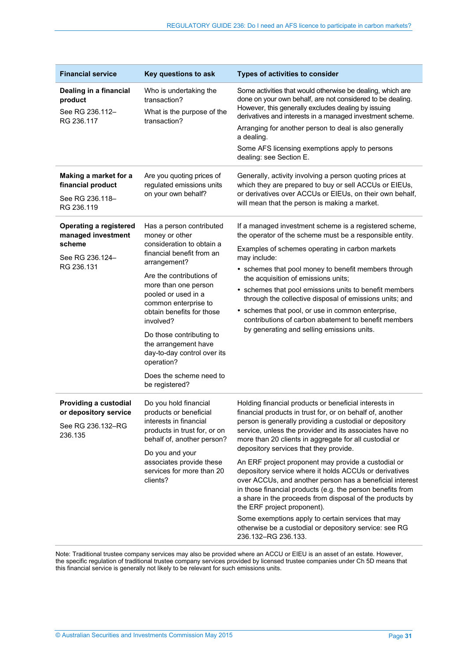| <b>Financial service</b>                                                                       | Key questions to ask                                                                                                                                                                                                                                                                                                                                                                                            | Types of activities to consider                                                                                                                                                                                                                                                                                                                                                                                                                                                                                                                                                                                                                                                                                                                                                                                           |
|------------------------------------------------------------------------------------------------|-----------------------------------------------------------------------------------------------------------------------------------------------------------------------------------------------------------------------------------------------------------------------------------------------------------------------------------------------------------------------------------------------------------------|---------------------------------------------------------------------------------------------------------------------------------------------------------------------------------------------------------------------------------------------------------------------------------------------------------------------------------------------------------------------------------------------------------------------------------------------------------------------------------------------------------------------------------------------------------------------------------------------------------------------------------------------------------------------------------------------------------------------------------------------------------------------------------------------------------------------------|
| Dealing in a financial<br>product<br>See RG 236.112-<br>RG 236.117                             | Who is undertaking the<br>transaction?<br>What is the purpose of the<br>transaction?                                                                                                                                                                                                                                                                                                                            | Some activities that would otherwise be dealing, which are<br>done on your own behalf, are not considered to be dealing.<br>However, this generally excludes dealing by issuing<br>derivatives and interests in a managed investment scheme.<br>Arranging for another person to deal is also generally<br>a dealing.<br>Some AFS licensing exemptions apply to persons<br>dealing: see Section E.                                                                                                                                                                                                                                                                                                                                                                                                                         |
| Making a market for a<br>financial product<br>See RG 236.118-<br>RG 236.119                    | Are you quoting prices of<br>regulated emissions units<br>on your own behalf?                                                                                                                                                                                                                                                                                                                                   | Generally, activity involving a person quoting prices at<br>which they are prepared to buy or sell ACCUs or EIEUs,<br>or derivatives over ACCUs or EIEUs, on their own behalf,<br>will mean that the person is making a market.                                                                                                                                                                                                                                                                                                                                                                                                                                                                                                                                                                                           |
| <b>Operating a registered</b><br>managed investment<br>scheme<br>See RG 236.124-<br>RG 236.131 | Has a person contributed<br>money or other<br>consideration to obtain a<br>financial benefit from an<br>arrangement?<br>Are the contributions of<br>more than one person<br>pooled or used in a<br>common enterprise to<br>obtain benefits for those<br>involved?<br>Do those contributing to<br>the arrangement have<br>day-to-day control over its<br>operation?<br>Does the scheme need to<br>be registered? | If a managed investment scheme is a registered scheme,<br>the operator of the scheme must be a responsible entity.<br>Examples of schemes operating in carbon markets<br>may include:<br>• schemes that pool money to benefit members through<br>the acquisition of emissions units;<br>• schemes that pool emissions units to benefit members<br>through the collective disposal of emissions units; and<br>• schemes that pool, or use in common enterprise,<br>contributions of carbon abatement to benefit members<br>by generating and selling emissions units.                                                                                                                                                                                                                                                      |
| Providing a custodial<br>or depository service<br>See RG 236.132-RG<br>236.135                 | Do you hold financial<br>products or beneficial<br>interests in financial<br>products in trust for, or on<br>behalf of, another person?<br>Do you and your<br>associates provide these<br>services for more than 20<br>clients?                                                                                                                                                                                 | Holding financial products or beneficial interests in<br>financial products in trust for, or on behalf of, another<br>person is generally providing a custodial or depository<br>service, unless the provider and its associates have no<br>more than 20 clients in aggregate for all custodial or<br>depository services that they provide.<br>An ERF project proponent may provide a custodial or<br>depository service where it holds ACCUs or derivatives<br>over ACCUs, and another person has a beneficial interest<br>in those financial products (e.g. the person benefits from<br>a share in the proceeds from disposal of the products by<br>the ERF project proponent).<br>Some exemptions apply to certain services that may<br>otherwise be a custodial or depository service: see RG<br>236.132-RG 236.133. |

Note: Traditional trustee company services may also be provided where an ACCU or EIEU is an asset of an estate. However, the specific regulation of traditional trustee company services provided by licensed trustee companies under Ch 5D means that this financial service is generally not likely to be relevant for such emissions units.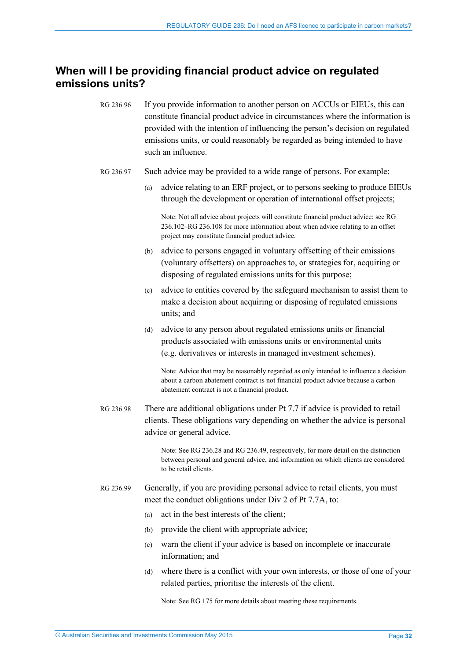### <span id="page-31-1"></span><span id="page-31-0"></span>**When will I be providing financial product advice on regulated emissions units?**

RG 236.96 If you provide information to another person on ACCUs or EIEUs, this can constitute financial product advice in circumstances where the information is provided with the intention of influencing the person's decision on regulated emissions units, or could reasonably be regarded as being intended to have such an influence.

- RG 236.97 Such advice may be provided to a wide range of persons. For example:
	- (a) advice relating to an ERF project, or to persons seeking to produce EIEUs through the development or operation of international offset projects;

Note: Not all advice about projects will constitute financial product advice: see [RG](#page-32-0)  [236.102](#page-32-0)[–RG 236.108](#page-34-0) for more information about when advice relating to an offset project may constitute financial product advice.

- (b) advice to persons engaged in voluntary offsetting of their emissions (voluntary offsetters) on approaches to, or strategies for, acquiring or disposing of regulated emissions units for this purpose;
- (c) advice to entities covered by the safeguard mechanism to assist them to make a decision about acquiring or disposing of regulated emissions units; and
- (d) advice to any person about regulated emissions units or financial products associated with emissions units or environmental units (e.g. derivatives or interests in managed investment schemes).

Note: Advice that may be reasonably regarded as only intended to influence a decision about a carbon abatement contract is not financial product advice because a carbon abatement contract is not a financial product.

RG 236.98 There are additional obligations under Pt 7.7 if advice is provided to retail clients. These obligations vary depending on whether the advice is personal advice or general advice.

> Note: See [RG 236.28](#page-12-0) and [RG 236.49,](#page-16-1) respectively, for more detail on the distinction between personal and general advice, and information on which clients are considered to be retail clients.

- RG 236.99 Generally, if you are providing personal advice to retail clients, you must meet the conduct obligations under Div 2 of Pt 7.7A, to:
	- (a) act in the best interests of the client;
	- (b) provide the client with appropriate advice;
	- (c) warn the client if your advice is based on incomplete or inaccurate information; and
	- (d) where there is a conflict with your own interests, or those of one of your related parties, prioritise the interests of the client.

Note: See RG 175 for more details about meeting these requirements.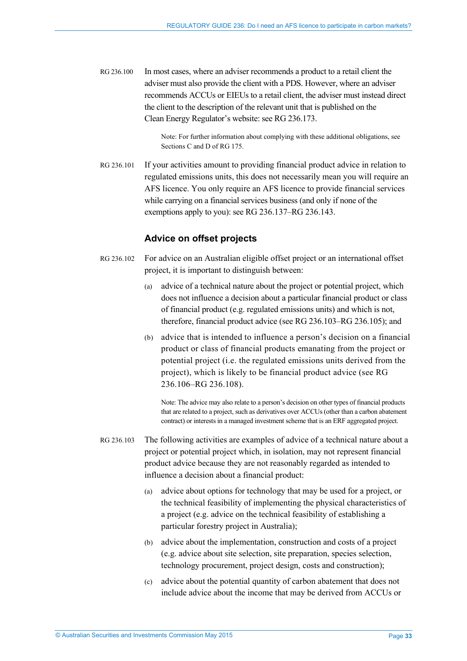RG 236.100 In most cases, where an adviser recommends a product to a retail client the adviser must also provide the client with a PDS. However, where an adviser recommends ACCUs or EIEUs to a retail client, the adviser must instead direct the client to the description of the relevant unit that is published on the Clean Energy Regulator's website: see [RG 236.173.](#page-52-0)

> Note: For further information about complying with these additional obligations, see Sections C and D of RG 175.

RG 236.101 If your activities amount to providing financial product advice in relation to regulated emissions units, this does not necessarily mean you will require an AFS licence. You only require an AFS licence to provide financial services while carrying on a financial services business (and only if none of the exemptions apply to you): see [RG 236.137](#page-42-2)[–RG 236.143.](#page-43-2)

#### **Advice on offset projects**

- <span id="page-32-0"></span>RG 236.102 For advice on an Australian eligible offset project or an international offset project, it is important to distinguish between:
	- (a) advice of a technical nature about the project or potential project, which does not influence a decision about a particular financial product or class of financial product (e.g. regulated emissions units) and which is not, therefore, financial product advice (see [RG 236.103](#page-32-1)[–RG 236.105\)](#page-33-0); and
	- (b) advice that is intended to influence a person's decision on a financial product or class of financial products emanating from the project or potential project (i.e. the regulated emissions units derived from the project), which is likely to be financial product advice (see [RG](#page-33-1)  [236.106](#page-33-1)[–RG 236.108\)](#page-34-0).

Note: The advice may also relate to a person's decision on other types of financial products that are related to a project, such as derivatives over ACCUs (other than a carbon abatement contract) or interests in a managed investment scheme that is an ERF aggregated project.

- <span id="page-32-1"></span>RG 236.103 The following activities are examples of advice of a technical nature about a project or potential project which, in isolation, may not represent financial product advice because they are not reasonably regarded as intended to influence a decision about a financial product:
	- (a) advice about options for technology that may be used for a project, or the technical feasibility of implementing the physical characteristics of a project (e.g. advice on the technical feasibility of establishing a particular forestry project in Australia);
	- (b) advice about the implementation, construction and costs of a project (e.g. advice about site selection, site preparation, species selection, technology procurement, project design, costs and construction);
	- (c) advice about the potential quantity of carbon abatement that does not include advice about the income that may be derived from ACCUs or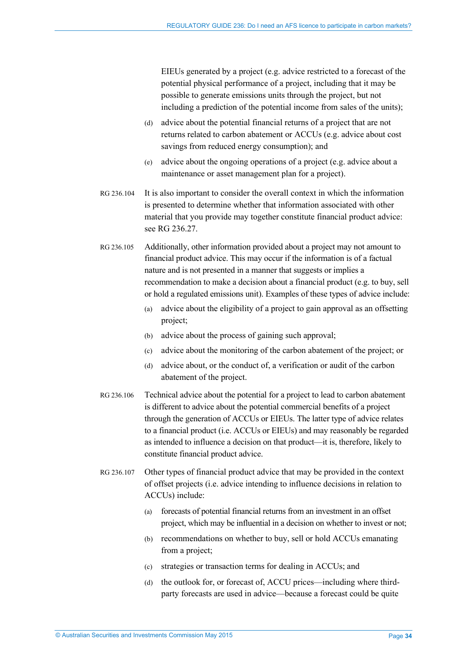EIEUs generated by a project (e.g. advice restricted to a forecast of the potential physical performance of a project, including that it may be possible to generate emissions units through the project, but not including a prediction of the potential income from sales of the units);

- (d) advice about the potential financial returns of a project that are not returns related to carbon abatement or ACCUs (e.g. advice about cost savings from reduced energy consumption); and
- (e) advice about the ongoing operations of a project (e.g. advice about a maintenance or asset management plan for a project).
- RG 236.104 It is also important to consider the overall context in which the information is presented to determine whether that information associated with other material that you provide may together constitute financial product advice: see [RG 236.27.](#page-11-0)
- <span id="page-33-0"></span>RG 236.105 Additionally, other information provided about a project may not amount to financial product advice. This may occur if the information is of a factual nature and is not presented in a manner that suggests or implies a recommendation to make a decision about a financial product (e.g. to buy, sell or hold a regulated emissions unit). Examples of these types of advice include:
	- (a) advice about the eligibility of a project to gain approval as an offsetting project;
	- (b) advice about the process of gaining such approval;
	- (c) advice about the monitoring of the carbon abatement of the project; or
	- (d) advice about, or the conduct of, a verification or audit of the carbon abatement of the project.
- <span id="page-33-1"></span>RG 236.106 Technical advice about the potential for a project to lead to carbon abatement is different to advice about the potential commercial benefits of a project through the generation of ACCUs or EIEUs. The latter type of advice relates to a financial product (i.e. ACCUs or EIEUs) and may reasonably be regarded as intended to influence a decision on that product—it is, therefore, likely to constitute financial product advice.
- RG 236.107 Other types of financial product advice that may be provided in the context of offset projects (i.e. advice intending to influence decisions in relation to ACCUs) include:
	- (a) forecasts of potential financial returns from an investment in an offset project, which may be influential in a decision on whether to invest or not;
	- (b) recommendations on whether to buy, sell or hold ACCUs emanating from a project;
	- (c) strategies or transaction terms for dealing in ACCUs; and
	- (d) the outlook for, or forecast of, ACCU prices—including where thirdparty forecasts are used in advice—because a forecast could be quite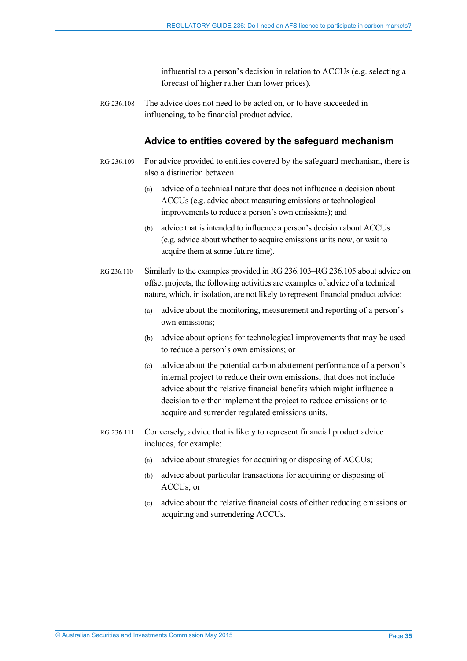influential to a person's decision in relation to ACCUs (e.g. selecting a forecast of higher rather than lower prices).

<span id="page-34-0"></span>RG 236.108 The advice does not need to be acted on, or to have succeeded in influencing, to be financial product advice.

#### **Advice to entities covered by the safeguard mechanism**

- RG 236.109 For advice provided to entities covered by the safeguard mechanism, there is also a distinction between:
	- (a) advice of a technical nature that does not influence a decision about ACCUs (e.g. advice about measuring emissions or technological improvements to reduce a person's own emissions); and
	- (b) advice that is intended to influence a person's decision about ACCUs (e.g. advice about whether to acquire emissions units now, or wait to acquire them at some future time).
- RG 236.110 Similarly to the examples provided in [RG 236.103](#page-32-1)[–RG 236.105](#page-33-0) about advice on offset projects, the following activities are examples of advice of a technical nature, which, in isolation, are not likely to represent financial product advice:
	- (a) advice about the monitoring, measurement and reporting of a person's own emissions;
	- (b) advice about options for technological improvements that may be used to reduce a person's own emissions; or
	- (c) advice about the potential carbon abatement performance of a person's internal project to reduce their own emissions, that does not include advice about the relative financial benefits which might influence a decision to either implement the project to reduce emissions or to acquire and surrender regulated emissions units.
- RG 236.111 Conversely, advice that is likely to represent financial product advice includes, for example:
	- (a) advice about strategies for acquiring or disposing of ACCUs;
	- (b) advice about particular transactions for acquiring or disposing of ACCUs; or
	- (c) advice about the relative financial costs of either reducing emissions or acquiring and surrendering ACCUs.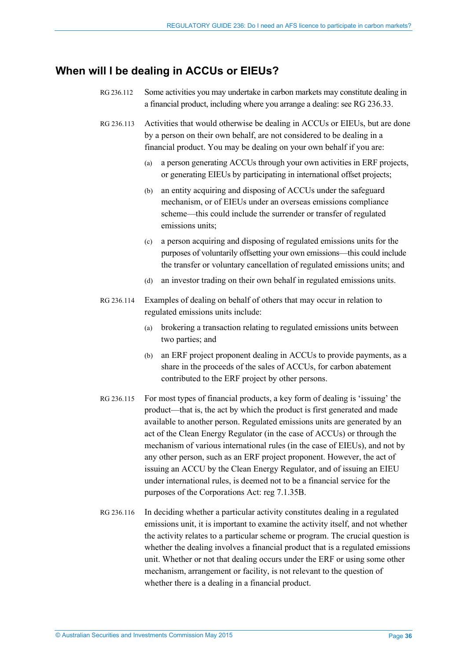### <span id="page-35-1"></span><span id="page-35-0"></span>**When will I be dealing in ACCUs or EIEUs?**

- RG 236.112 Some activities you may undertake in carbon markets may constitute dealing in a financial product, including where you arrange a dealing: see [RG 236.33.](#page-13-0)
- RG 236.113 Activities that would otherwise be dealing in ACCUs or EIEUs, but are done by a person on their own behalf, are not considered to be dealing in a financial product. You may be dealing on your own behalf if you are:
	- (a) a person generating ACCUs through your own activities in ERF projects, or generating EIEUs by participating in international offset projects;
	- (b) an entity acquiring and disposing of ACCUs under the safeguard mechanism, or of EIEUs under an overseas emissions compliance scheme—this could include the surrender or transfer of regulated emissions units;
	- (c) a person acquiring and disposing of regulated emissions units for the purposes of voluntarily offsetting your own emissions—this could include the transfer or voluntary cancellation of regulated emissions units; and
	- (d) an investor trading on their own behalf in regulated emissions units.
- RG 236.114 Examples of dealing on behalf of others that may occur in relation to regulated emissions units include:
	- (a) brokering a transaction relating to regulated emissions units between two parties; and
	- (b) an ERF project proponent dealing in ACCUs to provide payments, as a share in the proceeds of the sales of ACCUs, for carbon abatement contributed to the ERF project by other persons.
- RG 236.115 For most types of financial products, a key form of dealing is 'issuing' the product—that is, the act by which the product is first generated and made available to another person. Regulated emissions units are generated by an act of the Clean Energy Regulator (in the case of ACCUs) or through the mechanism of various international rules (in the case of EIEUs), and not by any other person, such as an ERF project proponent. However, the act of issuing an ACCU by the Clean Energy Regulator, and of issuing an EIEU under international rules, is deemed not to be a financial service for the purposes of the Corporations Act: reg 7.1.35B.
- RG 236.116 In deciding whether a particular activity constitutes dealing in a regulated emissions unit, it is important to examine the activity itself, and not whether the activity relates to a particular scheme or program. The crucial question is whether the dealing involves a financial product that is a regulated emissions unit. Whether or not that dealing occurs under the ERF or using some other mechanism, arrangement or facility, is not relevant to the question of whether there is a dealing in a financial product.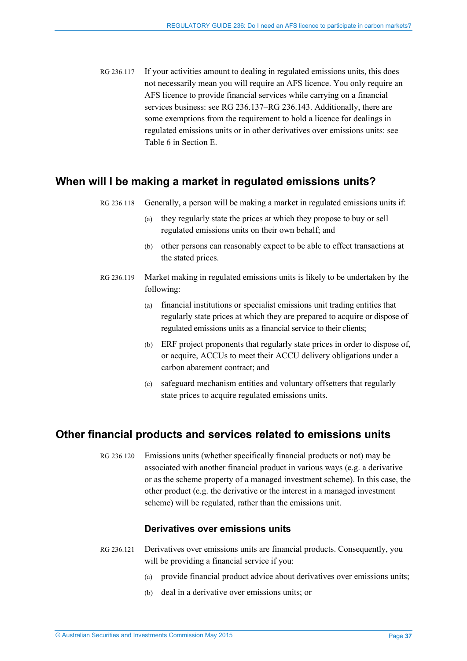<span id="page-36-3"></span>RG 236.117 If your activities amount to dealing in regulated emissions units, this does not necessarily mean you will require an AFS licence. You only require an AFS licence to provide financial services while carrying on a financial services business: see [RG 236.137](#page-42-2)[–RG 236.143.](#page-43-2) Additionally, there are some exemptions from the requirement to hold a licence for dealings in regulated emissions units or in other derivatives over emissions units: see [Table 6](#page-45-0) in Section [E.](#page-42-0)

### <span id="page-36-4"></span><span id="page-36-0"></span>**When will I be making a market in regulated emissions units?**

- RG 236.118 Generally, a person will be making a market in regulated emissions units if:
	- (a) they regularly state the prices at which they propose to buy or sell regulated emissions units on their own behalf; and
	- (b) other persons can reasonably expect to be able to effect transactions at the stated prices.
- <span id="page-36-5"></span>RG 236.119 Market making in regulated emissions units is likely to be undertaken by the following:
	- (a) financial institutions or specialist emissions unit trading entities that regularly state prices at which they are prepared to acquire or dispose of regulated emissions units as a financial service to their clients;
	- (b) ERF project proponents that regularly state prices in order to dispose of, or acquire, ACCUs to meet their ACCU delivery obligations under a carbon abatement contract; and
	- (c) safeguard mechanism entities and voluntary offsetters that regularly state prices to acquire regulated emissions units.

### <span id="page-36-2"></span><span id="page-36-1"></span>**Other financial products and services related to emissions units**

RG 236.120 Emissions units (whether specifically financial products or not) may be associated with another financial product in various ways (e.g. a derivative or as the scheme property of a managed investment scheme). In this case, the other product (e.g. the derivative or the interest in a managed investment scheme) will be regulated, rather than the emissions unit.

#### **Derivatives over emissions units**

- RG 236.121 Derivatives over emissions units are financial products. Consequently, you will be providing a financial service if you:
	- (a) provide financial product advice about derivatives over emissions units;
	- (b) deal in a derivative over emissions units; or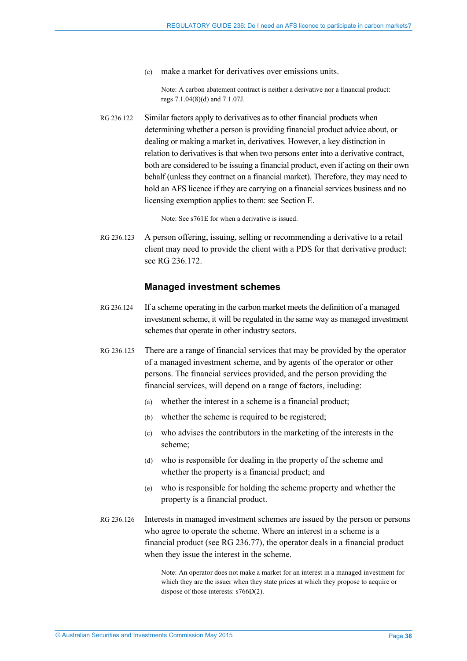(c) make a market for derivatives over emissions units.

Note: A carbon abatement contract is neither a derivative nor a financial product: regs 7.1.04(8)(d) and 7.1.07J.

RG 236.122 Similar factors apply to derivatives as to other financial products when determining whether a person is providing financial product advice about, or dealing or making a market in, derivatives. However, a key distinction in relation to derivatives is that when two persons enter into a derivative contract, both are considered to be issuing a financial product, even if acting on their own behalf (unless they contract on a financial market). Therefore, they may need to hold an AFS licence if they are carrying on a financial services business and no licensing exemption applies to them: see Sectio[n E.](#page-42-0)

Note: See s761E for when a derivative is issued.

RG 236.123 A person offering, issuing, selling or recommending a derivative to a retail client may need to provide the client with a PDS for that derivative product: see [RG 236.172.](#page-52-1)

#### **Managed investment schemes**

- <span id="page-37-0"></span>RG 236.124 If a scheme operating in the carbon market meets the definition of a managed investment scheme, it will be regulated in the same way as managed investment schemes that operate in other industry sectors.
- RG 236.125 There are a range of financial services that may be provided by the operator of a managed investment scheme, and by agents of the operator or other persons. The financial services provided, and the person providing the financial services, will depend on a range of factors, including:
	- (a) whether the interest in a scheme is a financial product;
	- (b) whether the scheme is required to be registered;
	- (c) who advises the contributors in the marketing of the interests in the scheme;
	- (d) who is responsible for dealing in the property of the scheme and whether the property is a financial product; and
	- (e) who is responsible for holding the scheme property and whether the property is a financial product.
- RG 236.126 Interests in managed investment schemes are issued by the person or persons who agree to operate the scheme. Where an interest in a scheme is a financial product (see [RG 236.77\)](#page-23-0), the operator deals in a financial product when they issue the interest in the scheme.

Note: An operator does not make a market for an interest in a managed investment for which they are the issuer when they state prices at which they propose to acquire or dispose of those interests: s766D(2).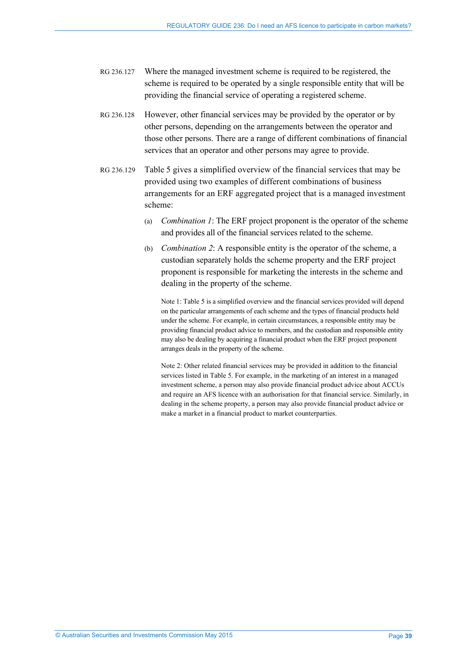- RG 236.127 Where the managed investment scheme is required to be registered, the scheme is required to be operated by a single responsible entity that will be providing the financial service of operating a registered scheme.
- RG 236.128 However, other financial services may be provided by the operator or by other persons, depending on the arrangements between the operator and those other persons. There are a range of different combinations of financial services that an operator and other persons may agree to provide.
- RG 236.129 [Table 5](#page-39-0) gives a simplified overview of the financial services that may be provided using two examples of different combinations of business arrangements for an ERF aggregated project that is a managed investment scheme:
	- (a) *Combination 1*: The ERF project proponent is the operator of the scheme and provides all of the financial services related to the scheme.
	- (b) *Combination 2*: A responsible entity is the operator of the scheme, a custodian separately holds the scheme property and the ERF project proponent is responsible for marketing the interests in the scheme and dealing in the property of the scheme.

Note 1[: Table 5](#page-39-0) is a simplified overview and the financial services provided will depend on the particular arrangements of each scheme and the types of financial products held under the scheme. For example, in certain circumstances, a responsible entity may be providing financial product advice to members, and the custodian and responsible entity may also be dealing by acquiring a financial product when the ERF project proponent arranges deals in the property of the scheme.

Note 2: Other related financial services may be provided in addition to the financial services listed in [Table 5.](#page-39-0) For example, in the marketing of an interest in a managed investment scheme, a person may also provide financial product advice about ACCUs and require an AFS licence with an authorisation for that financial service. Similarly, in dealing in the scheme property, a person may also provide financial product advice or make a market in a financial product to market counterparties.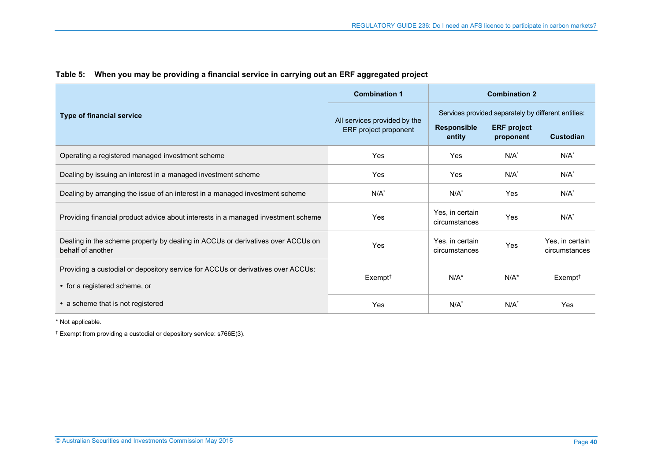|                                                                                                      | <b>Combination 1</b>         | <b>Combination 2</b>                                |                                 |                                  |
|------------------------------------------------------------------------------------------------------|------------------------------|-----------------------------------------------------|---------------------------------|----------------------------------|
| <b>Type of financial service</b>                                                                     | All services provided by the | Services provided separately by different entities: |                                 |                                  |
|                                                                                                      | ERF project proponent        | <b>Responsible</b><br>entity                        | <b>ERF</b> project<br>proponent | <b>Custodian</b>                 |
| Operating a registered managed investment scheme                                                     | Yes                          | <b>Yes</b>                                          | $N/A^*$                         | $N/A^*$                          |
| Dealing by issuing an interest in a managed investment scheme                                        | <b>Yes</b>                   | <b>Yes</b>                                          | $N/A^*$                         | $N/A^*$                          |
| Dealing by arranging the issue of an interest in a managed investment scheme                         | $N/A^*$                      | $N/A^*$                                             | <b>Yes</b>                      | $N/A^*$                          |
| Providing financial product advice about interests in a managed investment scheme                    | <b>Yes</b>                   | Yes, in certain<br>circumstances                    | Yes                             | $N/A^*$                          |
| Dealing in the scheme property by dealing in ACCUs or derivatives over ACCUs on<br>behalf of another | Yes                          | Yes, in certain<br>circumstances                    | Yes                             | Yes, in certain<br>circumstances |
| Providing a custodial or depository service for ACCUs or derivatives over ACCUs:                     | Exempt <sup>†</sup>          | $N/A^*$                                             | $N/A^*$                         | Exempt <sup>†</sup>              |
| • for a registered scheme, or                                                                        |                              |                                                     |                                 |                                  |
| • a scheme that is not registered                                                                    | Yes                          | $N/A^*$                                             | $N/A^*$                         | Yes                              |

#### **Table 5: When you may be providing a financial service in carrying out an ERF aggregated project**

<span id="page-39-0"></span>\* Not applicable.

† Exempt from providing a custodial or depository service: s766E(3).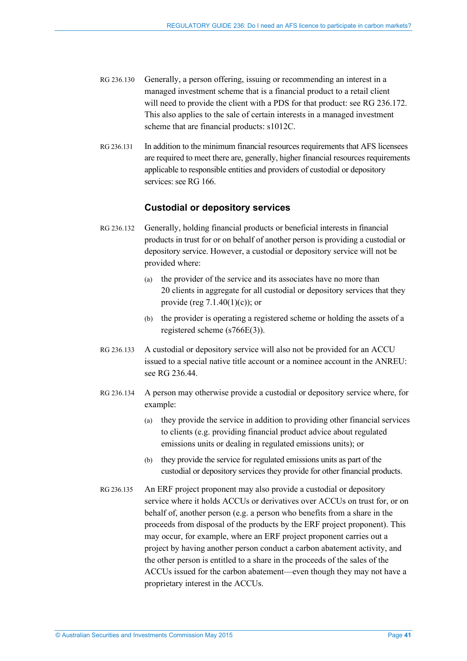- RG 236.130 Generally, a person offering, issuing or recommending an interest in a managed investment scheme that is a financial product to a retail client will need to provide the client with a PDS for that product: see [RG 236.172.](#page-52-1) This also applies to the sale of certain interests in a managed investment scheme that are financial products: s1012C.
- <span id="page-40-0"></span>RG 236.131 In addition to the minimum financial resources requirements that AFS licensees are required to meet there are, generally, higher financial resources requirements applicable to responsible entities and providers of custodial or depository services: see RG 166.

#### **Custodial or depository services**

- <span id="page-40-1"></span>RG 236.132 Generally, holding financial products or beneficial interests in financial products in trust for or on behalf of another person is providing a custodial or depository service. However, a custodial or depository service will not be provided where:
	- (a) the provider of the service and its associates have no more than 20 clients in aggregate for all custodial or depository services that they provide (reg  $7.1.40(1)(c)$ ); or
	- (b) the provider is operating a registered scheme or holding the assets of a registered scheme (s766E(3)).
- <span id="page-40-3"></span>RG 236.133 A custodial or depository service will also not be provided for an ACCU issued to a special native title account or a nominee account in the ANREU: see [RG 236.44.](#page-15-1)
- RG 236.134 A person may otherwise provide a custodial or depository service where, for example:
	- (a) they provide the service in addition to providing other financial services to clients (e.g. providing financial product advice about regulated emissions units or dealing in regulated emissions units); or
	- (b) they provide the service for regulated emissions units as part of the custodial or depository services they provide for other financial products.
- <span id="page-40-2"></span>RG 236.135 An ERF project proponent may also provide a custodial or depository service where it holds ACCUs or derivatives over ACCUs on trust for, or on behalf of, another person (e.g. a person who benefits from a share in the proceeds from disposal of the products by the ERF project proponent). This may occur, for example, where an ERF project proponent carries out a project by having another person conduct a carbon abatement activity, and the other person is entitled to a share in the proceeds of the sales of the ACCUs issued for the carbon abatement—even though they may not have a proprietary interest in the ACCUs.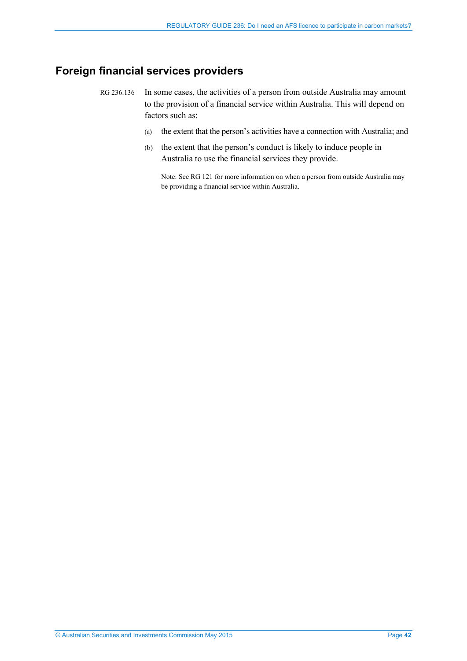### <span id="page-41-0"></span>**Foreign financial services providers**

- RG 236.136 In some cases, the activities of a person from outside Australia may amount to the provision of a financial service within Australia. This will depend on factors such as:
	- (a) the extent that the person's activities have a connection with Australia; and
	- (b) the extent that the person's conduct is likely to induce people in Australia to use the financial services they provide.

Note: See RG 121 for more information on when a person from outside Australia may be providing a financial service within Australia.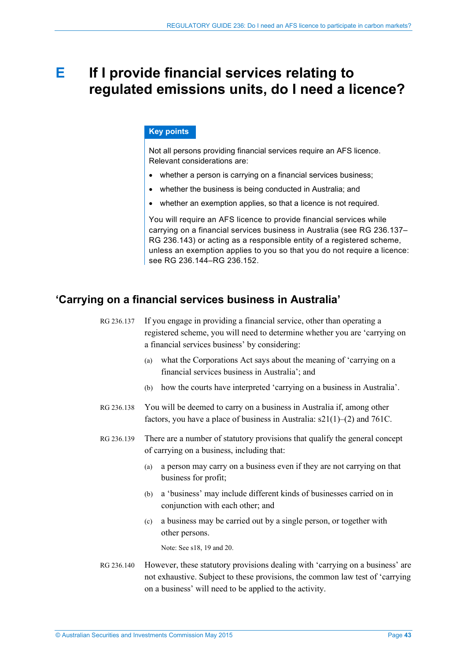## <span id="page-42-0"></span>**E If I provide financial services relating to regulated emissions units, do I need a licence?**

#### **Key points**

Not all persons providing financial services require an AFS licence. Relevant considerations are:

- whether a person is carrying on a financial services business;
- whether the business is being conducted in Australia; and
- whether an exemption applies, so that a licence is not required.

You will require an AFS licence to provide financial services while carrying on a financial services business in Australia (see [RG 236.137–](#page-42-2) [RG 236.143\)](#page-43-2) or acting as a responsible entity of a registered scheme, unless an exemption applies to you so that you do not require a licence: see [RG 236.144–](#page-43-1)[RG 236.152.](#page-46-0)

### <span id="page-42-2"></span><span id="page-42-1"></span>**'Carrying on a financial services business in Australia'**

- RG 236.137 If you engage in providing a financial service, other than operating a registered scheme, you will need to determine whether you are 'carrying on a financial services business' by considering:
	- (a) what the Corporations Act says about the meaning of 'carrying on a financial services business in Australia'; and
	- (b) how the courts have interpreted 'carrying on a business in Australia'.
- RG 236.138 You will be deemed to carry on a business in Australia if, among other factors, you have a place of business in Australia: s21(1)–(2) and 761C.
- RG 236.139 There are a number of statutory provisions that qualify the general concept of carrying on a business, including that:
	- (a) a person may carry on a business even if they are not carrying on that business for profit;
	- (b) a 'business' may include different kinds of businesses carried on in conjunction with each other; and
	- (c) a business may be carried out by a single person, or together with other persons.

Note: See s18, 19 and 20.

RG 236.140 However, these statutory provisions dealing with 'carrying on a business' are not exhaustive. Subject to these provisions, the common law test of 'carrying on a business' will need to be applied to the activity.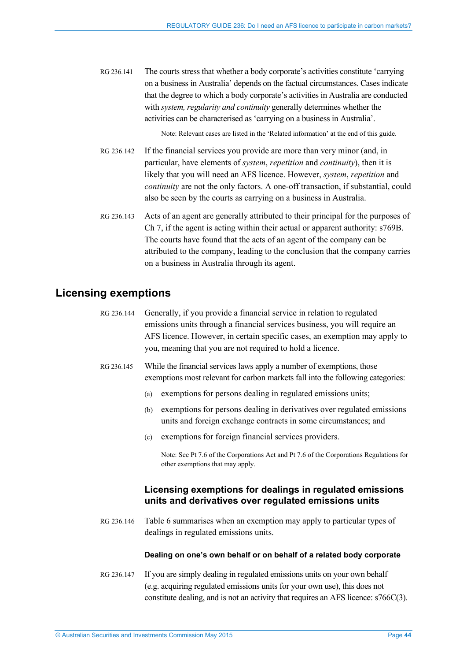RG 236.141 The courts stress that whether a body corporate's activities constitute 'carrying on a business in Australia' depends on the factual circumstances. Cases indicate that the degree to which a body corporate's activities in Australia are conducted with *system, regularity and continuity* generally determines whether the activities can be characterised as 'carrying on a business in Australia'.

Note: Relevant cases are listed in the ['Related information'](#page-61-0) at the end of this guide.

- RG 236.142 If the financial services you provide are more than very minor (and, in particular, have elements of *system*, *repetition* and *continuity*), then it is likely that you will need an AFS licence. However, *system*, *repetition* and *continuity* are not the only factors. A one-off transaction, if substantial, could also be seen by the courts as carrying on a business in Australia.
- <span id="page-43-2"></span>RG 236.143 Acts of an agent are generally attributed to their principal for the purposes of Ch 7, if the agent is acting within their actual or apparent authority: s769B. The courts have found that the acts of an agent of the company can be attributed to the company, leading to the conclusion that the company carries on a business in Australia through its agent.

### <span id="page-43-1"></span><span id="page-43-0"></span>**Licensing exemptions**

- RG 236.144 Generally, if you provide a financial service in relation to regulated emissions units through a financial services business, you will require an AFS licence. However, in certain specific cases, an exemption may apply to you, meaning that you are not required to hold a licence.
- RG 236.145 While the financial services laws apply a number of exemptions, those exemptions most relevant for carbon markets fall into the following categories:
	- (a) exemptions for persons dealing in regulated emissions units;
	- (b) exemptions for persons dealing in derivatives over regulated emissions units and foreign exchange contracts in some circumstances; and
	- (c) exemptions for foreign financial services providers.

Note: See Pt 7.6 of the Corporations Act and Pt 7.6 of the Corporations Regulations for other exemptions that may apply.

#### **Licensing exemptions for dealings in regulated emissions units and derivatives over regulated emissions units**

RG 236.146 [Table 6](#page-45-0) summarises when an exemption may apply to particular types of dealings in regulated emissions units.

#### **Dealing on one's own behalf or on behalf of a related body corporate**

RG 236.147 If you are simply dealing in regulated emissions units on your own behalf (e.g. acquiring regulated emissions units for your own use), this does not constitute dealing, and is not an activity that requires an AFS licence: s766C(3).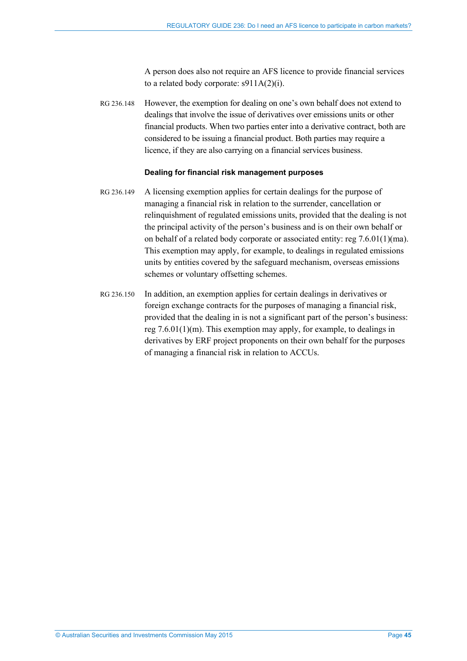A person does also not require an AFS licence to provide financial services to a related body corporate: s911A(2)(i).

RG 236.148 However, the exemption for dealing on one's own behalf does not extend to dealings that involve the issue of derivatives over emissions units or other financial products. When two parties enter into a derivative contract, both are considered to be issuing a financial product. Both parties may require a licence, if they are also carrying on a financial services business.

#### **Dealing for financial risk management purposes**

- RG 236.149 A licensing exemption applies for certain dealings for the purpose of managing a financial risk in relation to the surrender, cancellation or relinquishment of regulated emissions units, provided that the dealing is not the principal activity of the person's business and is on their own behalf or on behalf of a related body corporate or associated entity: reg 7.6.01(1)(ma). This exemption may apply, for example, to dealings in regulated emissions units by entities covered by the safeguard mechanism, overseas emissions schemes or voluntary offsetting schemes.
- RG 236.150 In addition, an exemption applies for certain dealings in derivatives or foreign exchange contracts for the purposes of managing a financial risk, provided that the dealing in is not a significant part of the person's business: reg 7.6.01(1)(m). This exemption may apply, for example, to dealings in derivatives by ERF project proponents on their own behalf for the purposes of managing a financial risk in relation to ACCUs.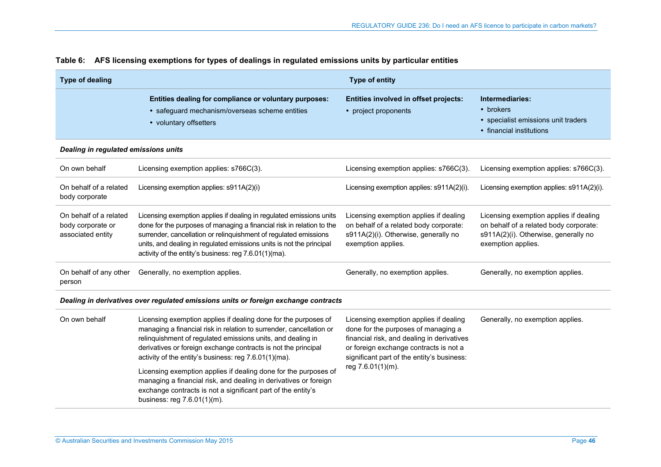<span id="page-45-0"></span>

| <b>Type of dealing</b>                                           |                                                                                                                                                                                                                                                                                                                                                                                                     | <b>Type of entity</b>                                                                                                                                                                                                                    |                                                                                                                                                |  |
|------------------------------------------------------------------|-----------------------------------------------------------------------------------------------------------------------------------------------------------------------------------------------------------------------------------------------------------------------------------------------------------------------------------------------------------------------------------------------------|------------------------------------------------------------------------------------------------------------------------------------------------------------------------------------------------------------------------------------------|------------------------------------------------------------------------------------------------------------------------------------------------|--|
|                                                                  | Entities dealing for compliance or voluntary purposes:<br>• safeguard mechanism/overseas scheme entities<br>• voluntary offsetters                                                                                                                                                                                                                                                                  | Entities involved in offset projects:<br>• project proponents                                                                                                                                                                            | Intermediaries:<br>• brokers<br>• specialist emissions unit traders<br>• financial institutions                                                |  |
| Dealing in regulated emissions units                             |                                                                                                                                                                                                                                                                                                                                                                                                     |                                                                                                                                                                                                                                          |                                                                                                                                                |  |
| On own behalf                                                    | Licensing exemption applies: s766C(3).                                                                                                                                                                                                                                                                                                                                                              | Licensing exemption applies: s766C(3).                                                                                                                                                                                                   | Licensing exemption applies: s766C(3).                                                                                                         |  |
| On behalf of a related<br>body corporate                         | Licensing exemption applies: s911A(2)(i)                                                                                                                                                                                                                                                                                                                                                            | Licensing exemption applies: s911A(2)(i).                                                                                                                                                                                                | Licensing exemption applies: s911A(2)(i).                                                                                                      |  |
| On behalf of a related<br>body corporate or<br>associated entity | Licensing exemption applies if dealing in regulated emissions units<br>done for the purposes of managing a financial risk in relation to the<br>surrender, cancellation or relinquishment of regulated emissions<br>units, and dealing in regulated emissions units is not the principal<br>activity of the entity's business: reg 7.6.01(1)(ma).                                                   | Licensing exemption applies if dealing<br>on behalf of a related body corporate:<br>s911A(2)(i). Otherwise, generally no<br>exemption applies.                                                                                           | Licensing exemption applies if dealing<br>on behalf of a related body corporate:<br>s911A(2)(i). Otherwise, generally no<br>exemption applies. |  |
| On behalf of any other<br>person                                 | Generally, no exemption applies.                                                                                                                                                                                                                                                                                                                                                                    | Generally, no exemption applies.                                                                                                                                                                                                         | Generally, no exemption applies.                                                                                                               |  |
|                                                                  | Dealing in derivatives over regulated emissions units or foreign exchange contracts                                                                                                                                                                                                                                                                                                                 |                                                                                                                                                                                                                                          |                                                                                                                                                |  |
| On own behalf                                                    | Licensing exemption applies if dealing done for the purposes of<br>managing a financial risk in relation to surrender, cancellation or<br>relinquishment of regulated emissions units, and dealing in<br>derivatives or foreign exchange contracts is not the principal<br>activity of the entity's business: reg 7.6.01(1)(ma).<br>Licensing exemption applies if dealing done for the purposes of | Licensing exemption applies if dealing<br>done for the purposes of managing a<br>financial risk, and dealing in derivatives<br>or foreign exchange contracts is not a<br>significant part of the entity's business:<br>reg 7.6.01(1)(m). | Generally, no exemption applies.                                                                                                               |  |
|                                                                  | managing a financial risk, and dealing in derivatives or foreign<br>exchange contracts is not a significant part of the entity's<br>business: reg 7.6.01(1)(m).                                                                                                                                                                                                                                     |                                                                                                                                                                                                                                          |                                                                                                                                                |  |

#### **Table 6: AFS licensing exemptions for types of dealings in regulated emissions units by particular entities**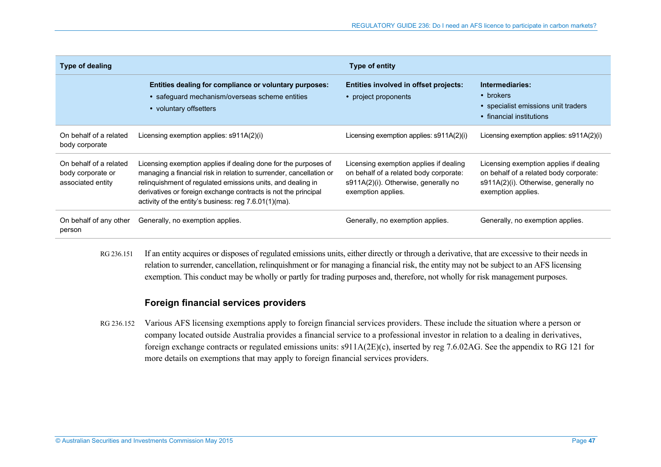| <b>Type of dealing</b>                                           |                                                                                                                                                                                                                                                                                                                                     | <b>Type of entity</b>                                                                                                                          |                                                                                                                                                |  |
|------------------------------------------------------------------|-------------------------------------------------------------------------------------------------------------------------------------------------------------------------------------------------------------------------------------------------------------------------------------------------------------------------------------|------------------------------------------------------------------------------------------------------------------------------------------------|------------------------------------------------------------------------------------------------------------------------------------------------|--|
|                                                                  | Entities dealing for compliance or voluntary purposes:<br>• safeguard mechanism/overseas scheme entities<br>• voluntary offsetters                                                                                                                                                                                                  | <b>Entities involved in offset projects:</b><br>• project proponents                                                                           | Intermediaries:<br>• brokers<br>• specialist emissions unit traders<br>• financial institutions                                                |  |
| On behalf of a related<br>body corporate                         | Licensing exemption applies: $s911A(2)(i)$                                                                                                                                                                                                                                                                                          | Licensing exemption applies: $s911A(2)(i)$                                                                                                     | Licensing exemption applies: $\frac{1}{2}(2)(i)$                                                                                               |  |
| On behalf of a related<br>body corporate or<br>associated entity | Licensing exemption applies if dealing done for the purposes of<br>managing a financial risk in relation to surrender, cancellation or<br>relinguishment of regulated emissions units, and dealing in<br>derivatives or foreign exchange contracts is not the principal<br>activity of the entity's business: reg $7.6.01(1)(ma)$ . | Licensing exemption applies if dealing<br>on behalf of a related body corporate:<br>s911A(2)(i). Otherwise, generally no<br>exemption applies. | Licensing exemption applies if dealing<br>on behalf of a related body corporate:<br>s911A(2)(i). Otherwise, generally no<br>exemption applies. |  |
| On behalf of any other<br>person                                 | Generally, no exemption applies.                                                                                                                                                                                                                                                                                                    | Generally, no exemption applies.                                                                                                               | Generally, no exemption applies.                                                                                                               |  |

RG 236.151 If an entity acquires or disposes of regulated emissions units, either directly or through a derivative, that are excessive to their needs in relation to surrender, cancellation, relinquishment or for managing a financial risk, the entity may not be subject to an AFS licensing exemption. This conduct may be wholly or partly for trading purposes and, therefore, not wholly for risk management purposes.

### **Foreign financial services providers**

<span id="page-46-0"></span>RG 236.152 Various AFS licensing exemptions apply to foreign financial services providers. These include the situation where a person or company located outside Australia provides a financial service to a professional investor in relation to a dealing in derivatives, foreign exchange contracts or regulated emissions units: s911A(2E)(c), inserted by reg 7.6.02AG. See the appendix to RG 121 for more details on exemptions that may apply to foreign financial services providers.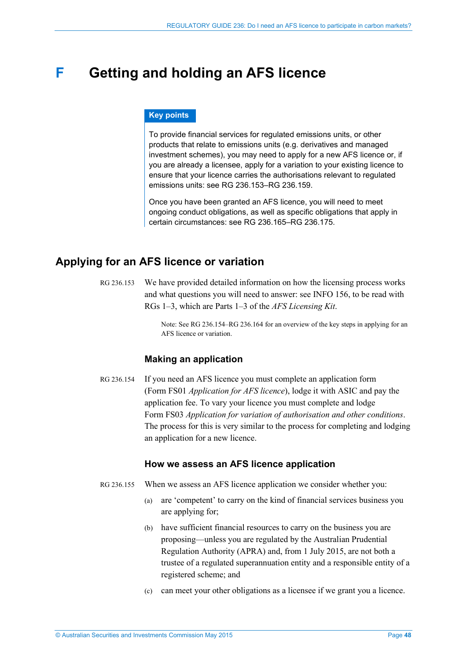## <span id="page-47-0"></span>**F Getting and holding an AFS licence**

#### **Key points**

To provide financial services for regulated emissions units, or other products that relate to emissions units (e.g. derivatives and managed investment schemes), you may need to apply for a new AFS licence or, if you are already a licensee, apply for a variation to your existing licence to ensure that your licence carries the authorisations relevant to regulated emissions units: see [RG 236.153–](#page-47-2)[RG 236.159.](#page-48-0)

Once you have been granted an AFS licence, you will need to meet ongoing conduct obligations, as well as specific obligations that apply in certain circumstances: see [RG 236.165](#page-50-1)[–RG 236.175.](#page-53-0)

### <span id="page-47-2"></span><span id="page-47-1"></span>**Applying for an AFS licence or variation**

RG 236.153 We have provided detailed information on how the licensing process works and what questions you will need to answer: see INFO 156, to be read with RGs 1–3, which are Parts 1–3 of the *AFS Licensing Kit*.

> Note: See [RG 236.154](#page-47-3)[–RG 236.164](#page-49-1) for an overview of the key steps in applying for an AFS licence or variation.

### **Making an application**

<span id="page-47-3"></span>RG 236.154 If you need an AFS licence you must complete an application form (Form FS01 *Application for AFS licence*), lodge it with ASIC and pay the application fee. To vary your licence you must complete and lodge Form FS03 *Application for variation of authorisation and other conditions*. The process for this is very similar to the process for completing and lodging an application for a new licence.

#### **How we assess an AFS licence application**

- RG 236.155 When we assess an AFS licence application we consider whether you:
	- (a) are 'competent' to carry on the kind of financial services business you are applying for;
	- (b) have sufficient financial resources to carry on the business you are proposing—unless you are regulated by the Australian Prudential Regulation Authority (APRA) and, from 1 July 2015, are not both a trustee of a regulated superannuation entity and a responsible entity of a registered scheme; and
	- (c) can meet your other obligations as a licensee if we grant you a licence.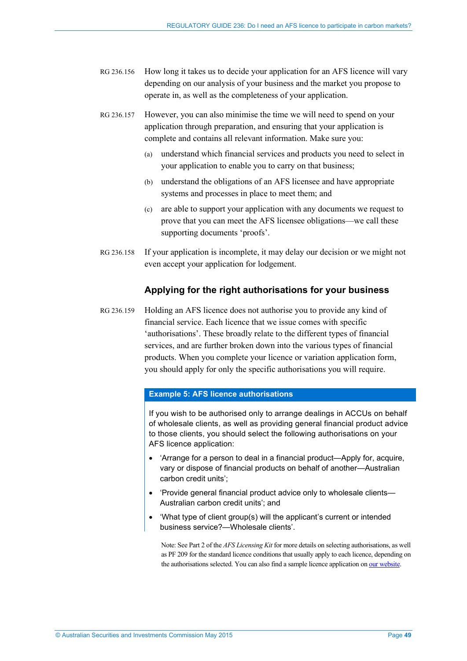- RG 236.156 How long it takes us to decide your application for an AFS licence will vary depending on our analysis of your business and the market you propose to operate in, as well as the completeness of your application.
- RG 236.157 However, you can also minimise the time we will need to spend on your application through preparation, and ensuring that your application is complete and contains all relevant information. Make sure you:
	- (a) understand which financial services and products you need to select in your application to enable you to carry on that business;
	- (b) understand the obligations of an AFS licensee and have appropriate systems and processes in place to meet them; and
	- (c) are able to support your application with any documents we request to prove that you can meet the AFS licensee obligations—we call these supporting documents 'proofs'.
- RG 236.158 If your application is incomplete, it may delay our decision or we might not even accept your application for lodgement.

#### **Applying for the right authorisations for your business**

<span id="page-48-0"></span>RG 236.159 Holding an AFS licence does not authorise you to provide any kind of financial service. Each licence that we issue comes with specific 'authorisations'. These broadly relate to the different types of financial services, and are further broken down into the various types of financial products. When you complete your licence or variation application form, you should apply for only the specific authorisations you will require.

#### **Example 5: AFS licence authorisations**

If you wish to be authorised only to arrange dealings in ACCUs on behalf of wholesale clients, as well as providing general financial product advice to those clients, you should select the following authorisations on your AFS licence application:

- 'Arrange for a person to deal in a financial product—Apply for, acquire, vary or dispose of financial products on behalf of another—Australian carbon credit units';
- 'Provide general financial product advice only to wholesale clients— Australian carbon credit units'; and
- 'What type of client group(s) will the applicant's current or intended business service?—Wholesale clients'.

Note: See Part 2 of the *AFS Licensing Kit* for more details on selecting authorisations, as well as PF 209 for the standard licence conditions that usually apply to each licence, depending on the authorisations selected. You can also find a sample licence application o[n our website.](http://www.asic.gov.au/)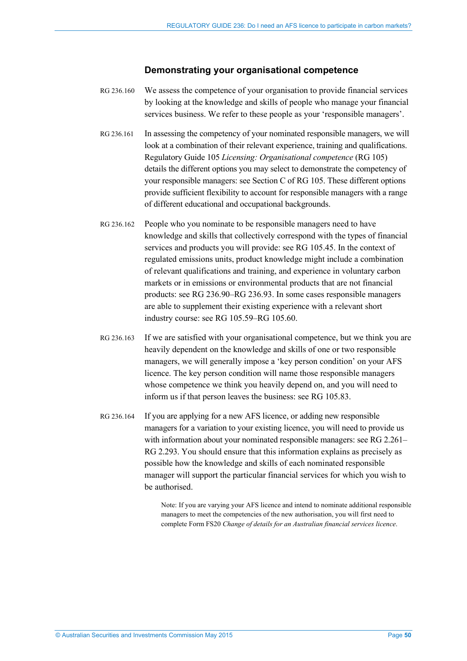#### **Demonstrating your organisational competence**

- <span id="page-49-0"></span>RG 236.160 We assess the competence of your organisation to provide financial services by looking at the knowledge and skills of people who manage your financial services business. We refer to these people as your 'responsible managers'.
- RG 236.161 In assessing the competency of your nominated responsible managers, we will look at a combination of their relevant experience, training and qualifications. Regulatory Guide 105 *Licensing: Organisational competence* (RG 105) details the different options you may select to demonstrate the competency of your responsible managers: see Section C of RG 105. These different options provide sufficient flexibility to account for responsible managers with a range of different educational and occupational backgrounds.
- RG 236.162 People who you nominate to be responsible managers need to have knowledge and skills that collectively correspond with the types of financial services and products you will provide: see RG 105.45. In the context of regulated emissions units, product knowledge might include a combination of relevant qualifications and training, and experience in voluntary carbon markets or in emissions or environmental products that are not financial products: see [RG 236.90](#page-27-1)[–RG 236.93.](#page-28-0) In some cases responsible managers are able to supplement their existing experience with a relevant short industry course: see RG 105.59–RG 105.60.
- RG 236.163 If we are satisfied with your organisational competence, but we think you are heavily dependent on the knowledge and skills of one or two responsible managers, we will generally impose a 'key person condition' on your AFS licence. The key person condition will name those responsible managers whose competence we think you heavily depend on, and you will need to inform us if that person leaves the business: see RG 105.83.
- <span id="page-49-1"></span>RG 236.164 If you are applying for a new AFS licence, or adding new responsible managers for a variation to your existing licence, you will need to provide us with information about your nominated responsible managers: see RG 2.261– RG 2.293. You should ensure that this information explains as precisely as possible how the knowledge and skills of each nominated responsible manager will support the particular financial services for which you wish to be authorised.

Note: If you are varying your AFS licence and intend to nominate additional responsible managers to meet the competencies of the new authorisation, you will first need to complete Form FS20 *Change of details for an Australian financial services licence*.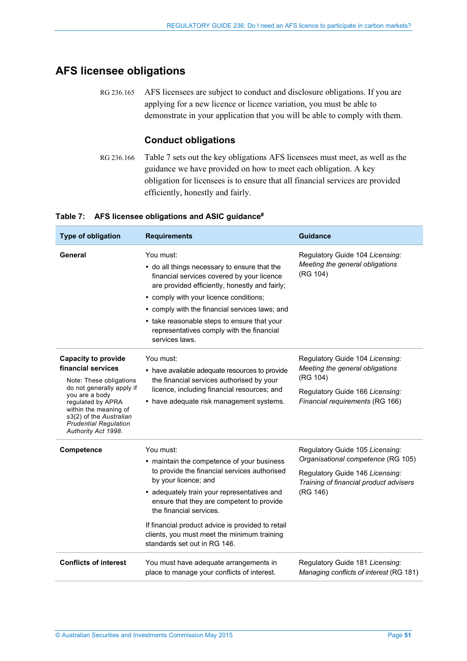### <span id="page-50-1"></span><span id="page-50-0"></span>**AFS licensee obligations**

RG 236.165 AFS licensees are subject to conduct and disclosure obligations. If you are applying for a new licence or licence variation, you must be able to demonstrate in your application that you will be able to comply with them.

#### **Conduct obligations**

RG 236.166 [Table 7](#page-50-2) sets out the key obligations AFS licensees must meet, as well as the guidance we have provided on how to meet each obligation. A key obligation for licensees is to ensure that all financial services are provided efficiently, honestly and fairly.

#### <span id="page-50-2"></span>**Table 7: AFS licensee obligations and ASIC guidance#**

| <b>Type of obligation</b>                                                                                                                                                                                                                                  | <b>Requirements</b>                                                                                                                                                                                                                                                                                                                                                                        | <b>Guidance</b>                                                                                                                                                |
|------------------------------------------------------------------------------------------------------------------------------------------------------------------------------------------------------------------------------------------------------------|--------------------------------------------------------------------------------------------------------------------------------------------------------------------------------------------------------------------------------------------------------------------------------------------------------------------------------------------------------------------------------------------|----------------------------------------------------------------------------------------------------------------------------------------------------------------|
| General                                                                                                                                                                                                                                                    | You must:<br>• do all things necessary to ensure that the<br>financial services covered by your licence<br>are provided efficiently, honestly and fairly;<br>• comply with your licence conditions;<br>• comply with the financial services laws; and<br>• take reasonable steps to ensure that your<br>representatives comply with the financial<br>services laws.                        | Regulatory Guide 104 Licensing:<br>Meeting the general obligations<br>(RG 104)                                                                                 |
| <b>Capacity to provide</b><br>financial services<br>Note: These obligations<br>do not generally apply if<br>you are a body<br>regulated by APRA<br>within the meaning of<br>s3(2) of the Australian<br><b>Prudential Regulation</b><br>Authority Act 1998. | You must:<br>• have available adequate resources to provide<br>the financial services authorised by your<br>licence, including financial resources; and<br>• have adequate risk management systems.                                                                                                                                                                                        | Regulatory Guide 104 Licensing:<br>Meeting the general obligations<br>(RG 104)<br>Regulatory Guide 166 Licensing:<br>Financial requirements (RG 166)           |
| Competence                                                                                                                                                                                                                                                 | You must:<br>• maintain the competence of your business<br>to provide the financial services authorised<br>by your licence; and<br>• adequately train your representatives and<br>ensure that they are competent to provide<br>the financial services.<br>If financial product advice is provided to retail<br>clients, you must meet the minimum training<br>standards set out in RG 146. | Regulatory Guide 105 Licensing:<br>Organisational competence (RG 105)<br>Regulatory Guide 146 Licensing:<br>Training of financial product advisers<br>(RG 146) |
| <b>Conflicts of interest</b>                                                                                                                                                                                                                               | You must have adequate arrangements in<br>place to manage your conflicts of interest.                                                                                                                                                                                                                                                                                                      | Regulatory Guide 181 Licensing:<br>Managing conflicts of interest (RG 181)                                                                                     |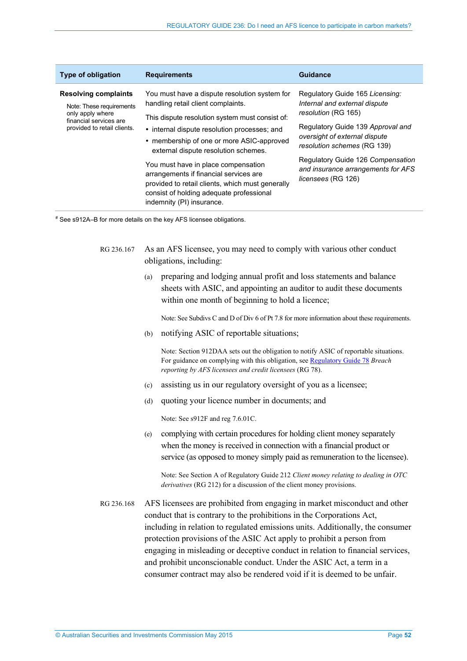| Type of obligation                                                                                                                   | <b>Requirements</b>                                                                                                                                                                                                                                                                                                                                                                                                                                                                       | <b>Guidance</b>                                                                                                                                                                                                                                                                               |
|--------------------------------------------------------------------------------------------------------------------------------------|-------------------------------------------------------------------------------------------------------------------------------------------------------------------------------------------------------------------------------------------------------------------------------------------------------------------------------------------------------------------------------------------------------------------------------------------------------------------------------------------|-----------------------------------------------------------------------------------------------------------------------------------------------------------------------------------------------------------------------------------------------------------------------------------------------|
| <b>Resolving complaints</b><br>Note: These requirements<br>only apply where<br>financial services are<br>provided to retail clients. | You must have a dispute resolution system for<br>handling retail client complaints.<br>This dispute resolution system must consist of:<br>• internal dispute resolution processes; and<br>• membership of one or more ASIC-approved<br>external dispute resolution schemes.<br>You must have in place compensation<br>arrangements if financial services are<br>provided to retail clients, which must generally<br>consist of holding adequate professional<br>indemnity (PI) insurance. | Regulatory Guide 165 Licensing:<br>Internal and external dispute<br>resolution (RG 165)<br>Regulatory Guide 139 Approval and<br>oversight of external dispute<br>resolution schemes (RG 139)<br>Regulatory Guide 126 Compensation<br>and insurance arrangements for AFS<br>licensees (RG 126) |

# See s912A–B for more details on the key AFS licensee obligations.

<span id="page-51-0"></span>RG 236.167 As an AFS licensee, you may need to comply with various other conduct obligations, including:

> (a) preparing and lodging annual profit and loss statements and balance sheets with ASIC, and appointing an auditor to audit these documents within one month of beginning to hold a licence;

Note: See Subdivs C and D of Div 6 of Pt 7.8 for more information about these requirements.

(b) notifying ASIC of reportable situations;

Note: Section 912DAA sets out the obligation to notify ASIC of reportable situations. For guidance on complying with this obligation, se[e Regulatory Guide 78](http://asic.gov.au/regulatory-resources/find-a-document/regulatory-guides/rg-78-breach-reporting-by-afs-licensees/) *Breach reporting by AFS licensees and credit licensees* (RG 78).

- (c) assisting us in our regulatory oversight of you as a licensee;
- (d) quoting your licence number in documents; and

Note: See s912F and reg 7.6.01C.

(e) complying with certain procedures for holding client money separately when the money is received in connection with a financial product or service (as opposed to money simply paid as remuneration to the licensee).

Note: See Section A of Regulatory Guide 212 *Client money relating to dealing in OTC derivatives* (RG 212) for a discussion of the client money provisions.

RG 236.168 AFS licensees are prohibited from engaging in market misconduct and other conduct that is contrary to the prohibitions in the Corporations Act, including in relation to regulated emissions units. Additionally, the consumer protection provisions of the ASIC Act apply to prohibit a person from engaging in misleading or deceptive conduct in relation to financial services, and prohibit unconscionable conduct. Under the ASIC Act, a term in a consumer contract may also be rendered void if it is deemed to be unfair.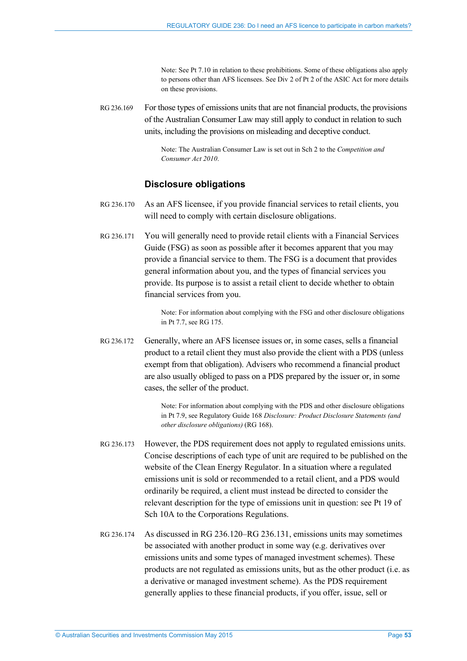Note: See Pt 7.10 in relation to these prohibitions. Some of these obligations also apply to persons other than AFS licensees. See Div 2 of Pt 2 of the ASIC Act for more details on these provisions.

RG 236.169 For those types of emissions units that are not financial products, the provisions of the Australian Consumer Law may still apply to conduct in relation to such units, including the provisions on misleading and deceptive conduct.

> Note: The Australian Consumer Law is set out in Sch 2 to the *Competition and Consumer Act 2010*.

#### **Disclosure obligations**

- RG 236.170 As an AFS licensee, if you provide financial services to retail clients, you will need to comply with certain disclosure obligations.
- RG 236.171 You will generally need to provide retail clients with a Financial Services Guide (FSG) as soon as possible after it becomes apparent that you may provide a financial service to them. The FSG is a document that provides general information about you, and the types of financial services you provide. Its purpose is to assist a retail client to decide whether to obtain financial services from you.

Note: For information about complying with the FSG and other disclosure obligations in Pt 7.7, see RG 175.

<span id="page-52-1"></span>RG 236.172 Generally, where an AFS licensee issues or, in some cases, sells a financial product to a retail client they must also provide the client with a PDS (unless exempt from that obligation). Advisers who recommend a financial product are also usually obliged to pass on a PDS prepared by the issuer or, in some cases, the seller of the product.

> Note: For information about complying with the PDS and other disclosure obligations in Pt 7.9, see Regulatory Guide 168 *Disclosure: Product Disclosure Statements (and other disclosure obligations)* (RG 168).

- <span id="page-52-0"></span>RG 236.173 However, the PDS requirement does not apply to regulated emissions units. Concise descriptions of each type of unit are required to be published on the website of the Clean Energy Regulator. In a situation where a regulated emissions unit is sold or recommended to a retail client, and a PDS would ordinarily be required, a client must instead be directed to consider the relevant description for the type of emissions unit in question: see Pt 19 of Sch 10A to the Corporations Regulations.
- RG 236.174 As discussed in [RG 236.120–](#page-36-2)[RG 236.131,](#page-40-0) emissions units may sometimes be associated with another product in some way (e.g. derivatives over emissions units and some types of managed investment schemes). These products are not regulated as emissions units, but as the other product (i.e. as a derivative or managed investment scheme). As the PDS requirement generally applies to these financial products, if you offer, issue, sell or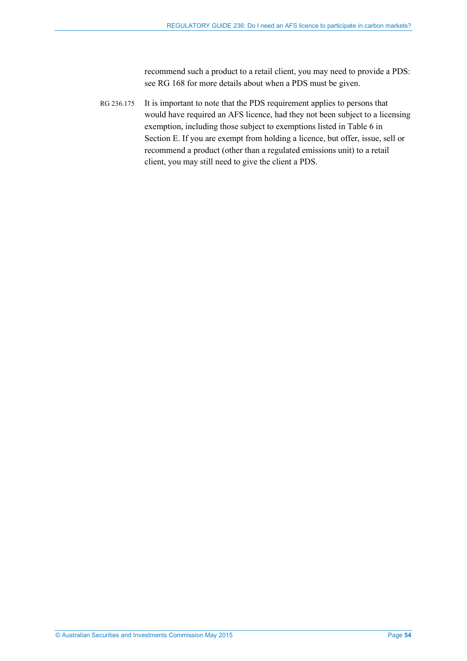recommend such a product to a retail client, you may need to provide a PDS: see RG 168 for more details about when a PDS must be given.

<span id="page-53-0"></span>RG 236.175 It is important to note that the PDS requirement applies to persons that would have required an AFS licence, had they not been subject to a licensing exemption, including those subject to exemptions listed in [Table 6](#page-45-0) in Section [E.](#page-42-0) If you are exempt from holding a licence, but offer, issue, sell or recommend a product (other than a regulated emissions unit) to a retail client, you may still need to give the client a PDS.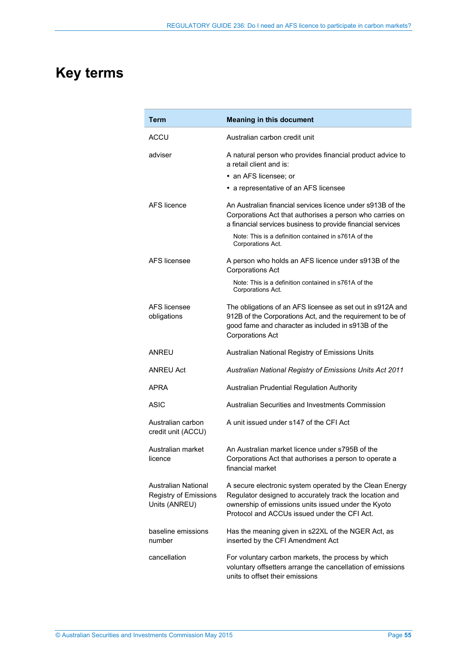## <span id="page-54-0"></span>**Key terms**

| Term                                                                        | <b>Meaning in this document</b>                                                                                                                                                                                                                                     |
|-----------------------------------------------------------------------------|---------------------------------------------------------------------------------------------------------------------------------------------------------------------------------------------------------------------------------------------------------------------|
| ACCU                                                                        | Australian carbon credit unit                                                                                                                                                                                                                                       |
| adviser                                                                     | A natural person who provides financial product advice to<br>a retail client and is:<br>• an AFS licensee; or<br>• a representative of an AFS licensee                                                                                                              |
| AFS licence                                                                 | An Australian financial services licence under s913B of the<br>Corporations Act that authorises a person who carries on<br>a financial services business to provide financial services<br>Note: This is a definition contained in s761A of the<br>Corporations Act. |
| AFS licensee                                                                | A person who holds an AFS licence under s913B of the<br><b>Corporations Act</b><br>Note: This is a definition contained in s761A of the                                                                                                                             |
| AFS licensee<br>obligations                                                 | Corporations Act.<br>The obligations of an AFS licensee as set out in s912A and<br>912B of the Corporations Act, and the requirement to be of<br>good fame and character as included in s913B of the<br><b>Corporations Act</b>                                     |
| ANREU                                                                       | Australian National Registry of Emissions Units                                                                                                                                                                                                                     |
| ANREU Act                                                                   | Australian National Registry of Emissions Units Act 2011                                                                                                                                                                                                            |
| APRA                                                                        | Australian Prudential Regulation Authority                                                                                                                                                                                                                          |
| <b>ASIC</b>                                                                 | Australian Securities and Investments Commission                                                                                                                                                                                                                    |
| Australian carbon<br>credit unit (ACCU)                                     | A unit issued under s147 of the CFI Act                                                                                                                                                                                                                             |
| Australian market<br>licence                                                | An Australian market licence under s795B of the<br>Corporations Act that authorises a person to operate a<br>financial market                                                                                                                                       |
| <b>Australian National</b><br><b>Registry of Emissions</b><br>Units (ANREU) | A secure electronic system operated by the Clean Energy<br>Regulator designed to accurately track the location and<br>ownership of emissions units issued under the Kyoto<br>Protocol and ACCUs issued under the CFI Act.                                           |
| baseline emissions<br>number                                                | Has the meaning given in s22XL of the NGER Act, as<br>inserted by the CFI Amendment Act                                                                                                                                                                             |
| cancellation                                                                | For voluntary carbon markets, the process by which<br>voluntary offsetters arrange the cancellation of emissions<br>units to offset their emissions                                                                                                                 |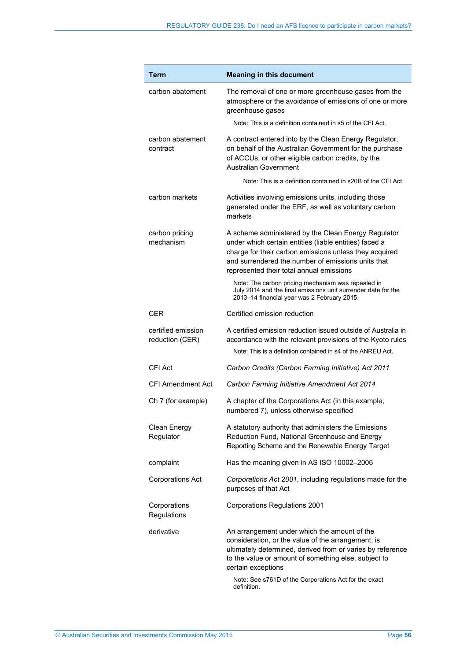| Term                                  | <b>Meaning in this document</b>                                                                                                                                                                                                                                           |
|---------------------------------------|---------------------------------------------------------------------------------------------------------------------------------------------------------------------------------------------------------------------------------------------------------------------------|
| carbon abatement                      | The removal of one or more greenhouse gases from the<br>atmosphere or the avoidance of emissions of one or more<br>greenhouse gases                                                                                                                                       |
|                                       | Note: This is a definition contained in s5 of the CFI Act                                                                                                                                                                                                                 |
| carbon abatement<br>contract          | A contract entered into by the Clean Energy Regulator,<br>on behalf of the Australian Government for the purchase<br>of ACCUs, or other eligible carbon credits, by the<br>Australian Government                                                                          |
|                                       | Note: This is a definition contained in s20B of the CFI Act.                                                                                                                                                                                                              |
| carbon markets                        | Activities involving emissions units, including those<br>generated under the ERF, as well as voluntary carbon<br>markets                                                                                                                                                  |
| carbon pricing<br>mechanism           | A scheme administered by the Clean Energy Regulator<br>under which certain entities (liable entities) faced a<br>charge for their carbon emissions unless they acquired<br>and surrendered the number of emissions units that<br>represented their total annual emissions |
|                                       | Note: The carbon pricing mechanism was repealed in<br>July 2014 and the final emissions unit surrender date for the<br>2013-14 financial year was 2 February 2015.                                                                                                        |
| <b>CER</b>                            | Certified emission reduction                                                                                                                                                                                                                                              |
| certified emission<br>reduction (CER) | A certified emission reduction issued outside of Australia in<br>accordance with the relevant provisions of the Kyoto rules<br>Note: This is a definition contained in s4 of the ANREU Act.                                                                               |
| CFI Act                               | Carbon Credits (Carbon Farming Initiative) Act 2011                                                                                                                                                                                                                       |
| <b>CFI Amendment Act</b>              | Carbon Farming Initiative Amendment Act 2014                                                                                                                                                                                                                              |
| Ch 7 (for example)                    | A chapter of the Corporations Act (in this example,<br>numbered 7), unless otherwise specified                                                                                                                                                                            |
| Clean Energy<br>Regulator             | A statutory authority that administers the Emissions<br>Reduction Fund, National Greenhouse and Energy<br>Reporting Scheme and the Renewable Energy Target                                                                                                                |
| complaint                             | Has the meaning given in AS ISO 10002-2006                                                                                                                                                                                                                                |
| <b>Corporations Act</b>               | Corporations Act 2001, including regulations made for the<br>purposes of that Act                                                                                                                                                                                         |
| Corporations<br>Regulations           | <b>Corporations Regulations 2001</b>                                                                                                                                                                                                                                      |
| derivative                            | An arrangement under which the amount of the<br>consideration, or the value of the arrangement, is<br>ultimately determined, derived from or varies by reference<br>to the value or amount of something else, subject to<br>certain exceptions                            |
|                                       | Note: See s761D of the Corporations Act for the exact<br>definition.                                                                                                                                                                                                      |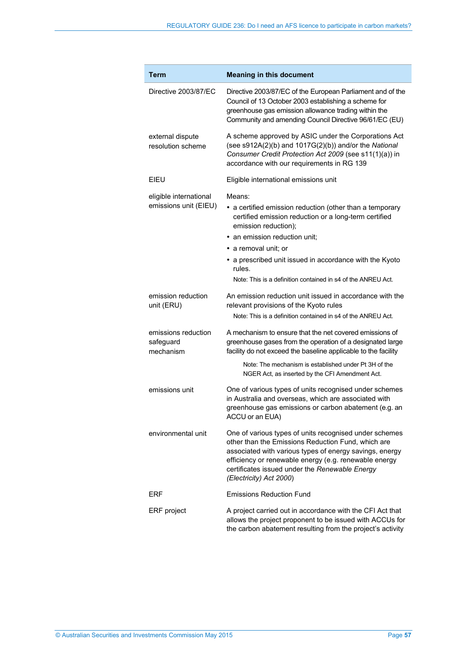| <b>Term</b>                                     | <b>Meaning in this document</b>                                                                                                                                                                                                                                                                                                                   |
|-------------------------------------------------|---------------------------------------------------------------------------------------------------------------------------------------------------------------------------------------------------------------------------------------------------------------------------------------------------------------------------------------------------|
| Directive 2003/87/EC                            | Directive 2003/87/EC of the European Parliament and of the<br>Council of 13 October 2003 establishing a scheme for<br>greenhouse gas emission allowance trading within the<br>Community and amending Council Directive 96/61/EC (EU)                                                                                                              |
| external dispute<br>resolution scheme           | A scheme approved by ASIC under the Corporations Act<br>(see s912A(2)(b) and 1017G(2)(b)) and/or the National<br>Consumer Credit Protection Act 2009 (see s11(1)(a)) in<br>accordance with our requirements in RG 139                                                                                                                             |
| EIEU                                            | Eligible international emissions unit                                                                                                                                                                                                                                                                                                             |
| eligible international<br>emissions unit (EIEU) | Means:<br>• a certified emission reduction (other than a temporary<br>certified emission reduction or a long-term certified<br>emission reduction);<br>• an emission reduction unit;<br>• a removal unit; or<br>• a prescribed unit issued in accordance with the Kyoto<br>rules.<br>Note: This is a definition contained in s4 of the ANREU Act. |
| emission reduction<br>unit (ERU)                | An emission reduction unit issued in accordance with the<br>relevant provisions of the Kyoto rules                                                                                                                                                                                                                                                |
| emissions reduction<br>safeguard<br>mechanism   | Note: This is a definition contained in s4 of the ANREU Act.<br>A mechanism to ensure that the net covered emissions of<br>greenhouse gases from the operation of a designated large<br>facility do not exceed the baseline applicable to the facility                                                                                            |
|                                                 | Note: The mechanism is established under Pt 3H of the<br>NGER Act, as inserted by the CFI Amendment Act.                                                                                                                                                                                                                                          |
| emissions unit                                  | One of various types of units recognised under schemes<br>in Australia and overseas, which are associated with<br>greenhouse gas emissions or carbon abatement (e.g. an<br>ACCU or an EUA)                                                                                                                                                        |
| environmental unit                              | One of various types of units recognised under schemes<br>other than the Emissions Reduction Fund, which are<br>associated with various types of energy savings, energy<br>efficiency or renewable energy (e.g. renewable energy<br>certificates issued under the Renewable Energy<br>(Electricity) Act 2000)                                     |
| ERF                                             | <b>Emissions Reduction Fund</b>                                                                                                                                                                                                                                                                                                                   |
| <b>ERF</b> project                              | A project carried out in accordance with the CFI Act that<br>allows the project proponent to be issued with ACCUs for<br>the carbon abatement resulting from the project's activity                                                                                                                                                               |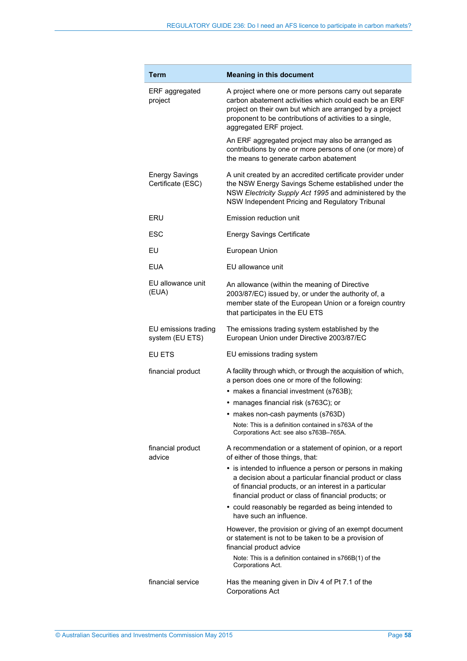| <b>Term</b>                                | <b>Meaning in this document</b>                                                                                                                                                                                                                                     |
|--------------------------------------------|---------------------------------------------------------------------------------------------------------------------------------------------------------------------------------------------------------------------------------------------------------------------|
| ERF aggregated<br>project                  | A project where one or more persons carry out separate<br>carbon abatement activities which could each be an ERF<br>project on their own but which are arranged by a project<br>proponent to be contributions of activities to a single,<br>aggregated ERF project. |
|                                            | An ERF aggregated project may also be arranged as<br>contributions by one or more persons of one (or more) of<br>the means to generate carbon abatement                                                                                                             |
| <b>Energy Savings</b><br>Certificate (ESC) | A unit created by an accredited certificate provider under<br>the NSW Energy Savings Scheme established under the<br>NSW Electricity Supply Act 1995 and administered by the<br>NSW Independent Pricing and Regulatory Tribunal                                     |
| ERU                                        | Emission reduction unit                                                                                                                                                                                                                                             |
| <b>ESC</b>                                 | <b>Energy Savings Certificate</b>                                                                                                                                                                                                                                   |
| EU                                         | European Union                                                                                                                                                                                                                                                      |
| <b>EUA</b>                                 | EU allowance unit                                                                                                                                                                                                                                                   |
| EU allowance unit<br>(EUA)                 | An allowance (within the meaning of Directive<br>2003/87/EC) issued by, or under the authority of, a<br>member state of the European Union or a foreign country<br>that participates in the EU ETS                                                                  |
| EU emissions trading<br>system (EU ETS)    | The emissions trading system established by the<br>European Union under Directive 2003/87/EC                                                                                                                                                                        |
| <b>EU ETS</b>                              | EU emissions trading system                                                                                                                                                                                                                                         |
| financial product                          | A facility through which, or through the acquisition of which,<br>a person does one or more of the following:                                                                                                                                                       |
|                                            | • makes a financial investment (s763B);                                                                                                                                                                                                                             |
|                                            | • manages financial risk (s763C); or                                                                                                                                                                                                                                |
|                                            | • makes non-cash payments (s763D)<br>Note: This is a definition contained in s763A of the<br>Corporations Act: see also s763B-765A.                                                                                                                                 |
| financial product<br>advice                | A recommendation or a statement of opinion, or a report<br>of either of those things, that:                                                                                                                                                                         |
|                                            | • is intended to influence a person or persons in making<br>a decision about a particular financial product or class<br>of financial products, or an interest in a particular<br>financial product or class of financial products; or                               |
|                                            | • could reasonably be regarded as being intended to<br>have such an influence.                                                                                                                                                                                      |
|                                            | However, the provision or giving of an exempt document<br>or statement is not to be taken to be a provision of<br>financial product advice                                                                                                                          |
|                                            | Note: This is a definition contained in s766B(1) of the<br>Corporations Act.                                                                                                                                                                                        |
| financial service                          | Has the meaning given in Div 4 of Pt 7.1 of the<br><b>Corporations Act</b>                                                                                                                                                                                          |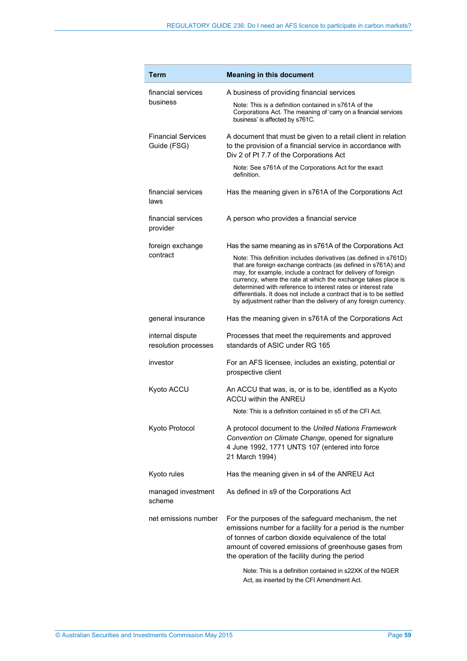| Term                                     | <b>Meaning in this document</b>                                                                                                                                                                                                                                                                                                                                                                                                                                              |
|------------------------------------------|------------------------------------------------------------------------------------------------------------------------------------------------------------------------------------------------------------------------------------------------------------------------------------------------------------------------------------------------------------------------------------------------------------------------------------------------------------------------------|
| financial services                       | A business of providing financial services                                                                                                                                                                                                                                                                                                                                                                                                                                   |
| business                                 | Note: This is a definition contained in s761A of the<br>Corporations Act. The meaning of 'carry on a financial services<br>business' is affected by s761C.                                                                                                                                                                                                                                                                                                                   |
| <b>Financial Services</b><br>Guide (FSG) | A document that must be given to a retail client in relation<br>to the provision of a financial service in accordance with<br>Div 2 of Pt 7.7 of the Corporations Act                                                                                                                                                                                                                                                                                                        |
|                                          | Note: See s761A of the Corporations Act for the exact<br>definition.                                                                                                                                                                                                                                                                                                                                                                                                         |
| financial services<br>laws               | Has the meaning given in s761A of the Corporations Act                                                                                                                                                                                                                                                                                                                                                                                                                       |
| financial services<br>provider           | A person who provides a financial service                                                                                                                                                                                                                                                                                                                                                                                                                                    |
| foreign exchange                         | Has the same meaning as in s761A of the Corporations Act                                                                                                                                                                                                                                                                                                                                                                                                                     |
| contract                                 | Note: This definition includes derivatives (as defined in s761D)<br>that are foreign exchange contracts (as defined in s761A) and<br>may, for example, include a contract for delivery of foreign<br>currency, where the rate at which the exchange takes place is<br>determined with reference to interest rates or interest rate<br>differentials. It does not include a contract that is to be settled<br>by adjustment rather than the delivery of any foreign currency. |
| general insurance                        | Has the meaning given in s761A of the Corporations Act                                                                                                                                                                                                                                                                                                                                                                                                                       |
| internal dispute<br>resolution processes | Processes that meet the requirements and approved<br>standards of ASIC under RG 165                                                                                                                                                                                                                                                                                                                                                                                          |
| investor                                 | For an AFS licensee, includes an existing, potential or<br>prospective client                                                                                                                                                                                                                                                                                                                                                                                                |
| Kyoto ACCU                               | An ACCU that was, is, or is to be, identified as a Kyoto<br>ACCU within the ANREU                                                                                                                                                                                                                                                                                                                                                                                            |
|                                          | Note: This is a definition contained in s5 of the CFI Act.                                                                                                                                                                                                                                                                                                                                                                                                                   |
| Kyoto Protocol                           | A protocol document to the United Nations Framework<br>Convention on Climate Change, opened for signature<br>4 June 1992, 1771 UNTS 107 (entered into force<br>21 March 1994)                                                                                                                                                                                                                                                                                                |
| Kyoto rules                              | Has the meaning given in s4 of the ANREU Act                                                                                                                                                                                                                                                                                                                                                                                                                                 |
| managed investment<br>scheme             | As defined in s9 of the Corporations Act                                                                                                                                                                                                                                                                                                                                                                                                                                     |
| net emissions number                     | For the purposes of the safeguard mechanism, the net<br>emissions number for a facility for a period is the number<br>of tonnes of carbon dioxide equivalence of the total<br>amount of covered emissions of greenhouse gases from<br>the operation of the facility during the period                                                                                                                                                                                        |
|                                          | Note: This is a definition contained in s22XK of the NGER<br>Act, as inserted by the CFI Amendment Act.                                                                                                                                                                                                                                                                                                                                                                      |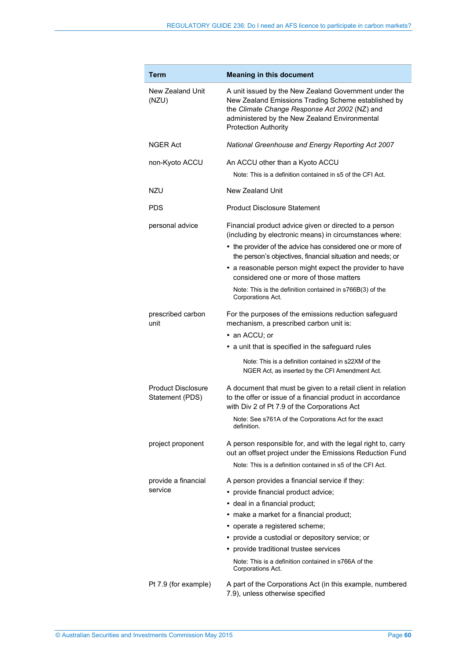| Term                                         | <b>Meaning in this document</b>                                                                                                                                                                                                               |
|----------------------------------------------|-----------------------------------------------------------------------------------------------------------------------------------------------------------------------------------------------------------------------------------------------|
| New Zealand Unit<br>(NZU)                    | A unit issued by the New Zealand Government under the<br>New Zealand Emissions Trading Scheme established by<br>the Climate Change Response Act 2002 (NZ) and<br>administered by the New Zealand Environmental<br><b>Protection Authority</b> |
| NGFR Act                                     | National Greenhouse and Energy Reporting Act 2007                                                                                                                                                                                             |
| non-Kyoto ACCU                               | An ACCU other than a Kyoto ACCU                                                                                                                                                                                                               |
|                                              | Note: This is a definition contained in s5 of the CFI Act.                                                                                                                                                                                    |
| NZU                                          | New Zealand Unit                                                                                                                                                                                                                              |
| <b>PDS</b>                                   | <b>Product Disclosure Statement</b>                                                                                                                                                                                                           |
| personal advice                              | Financial product advice given or directed to a person<br>(including by electronic means) in circumstances where:                                                                                                                             |
|                                              | • the provider of the advice has considered one or more of<br>the person's objectives, financial situation and needs; or                                                                                                                      |
|                                              | • a reasonable person might expect the provider to have<br>considered one or more of those matters                                                                                                                                            |
|                                              | Note: This is the definition contained in s766B(3) of the<br>Corporations Act.                                                                                                                                                                |
| prescribed carbon<br>unit                    | For the purposes of the emissions reduction safeguard<br>mechanism, a prescribed carbon unit is:                                                                                                                                              |
|                                              | • an ACCU; or                                                                                                                                                                                                                                 |
|                                              | • a unit that is specified in the safeguard rules                                                                                                                                                                                             |
|                                              | Note: This is a definition contained in s22XM of the<br>NGER Act, as inserted by the CFI Amendment Act.                                                                                                                                       |
| <b>Product Disclosure</b><br>Statement (PDS) | A document that must be given to a retail client in relation<br>to the offer or issue of a financial product in accordance<br>with Div 2 of Pt 7.9 of the Corporations Act                                                                    |
|                                              | Note: See s761A of the Corporations Act for the exact<br>definition.                                                                                                                                                                          |
| project proponent                            | A person responsible for, and with the legal right to, carry<br>out an offset project under the Emissions Reduction Fund                                                                                                                      |
|                                              | Note: This is a definition contained in s5 of the CFI Act.                                                                                                                                                                                    |
| provide a financial                          | A person provides a financial service if they:                                                                                                                                                                                                |
| service                                      | • provide financial product advice;                                                                                                                                                                                                           |
|                                              | · deal in a financial product;                                                                                                                                                                                                                |
|                                              | • make a market for a financial product;                                                                                                                                                                                                      |
|                                              | • operate a registered scheme;                                                                                                                                                                                                                |
|                                              | • provide a custodial or depository service; or                                                                                                                                                                                               |
|                                              | • provide traditional trustee services                                                                                                                                                                                                        |
|                                              | Note: This is a definition contained in s766A of the<br>Corporations Act.                                                                                                                                                                     |
| Pt 7.9 (for example)                         | A part of the Corporations Act (in this example, numbered<br>7.9), unless otherwise specified                                                                                                                                                 |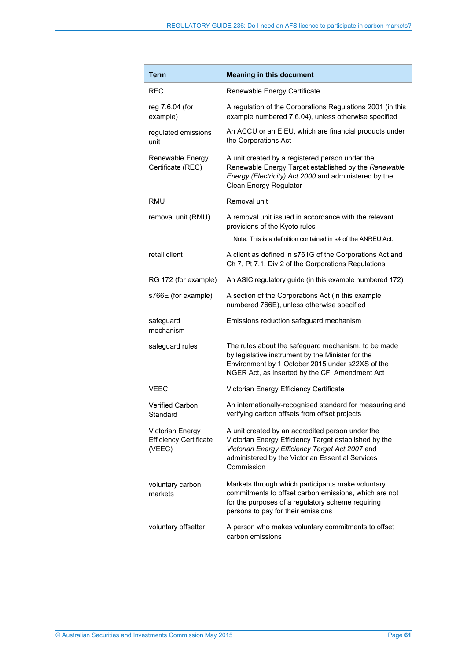| Term                                                        | <b>Meaning in this document</b>                                                                                                                                                                                                |
|-------------------------------------------------------------|--------------------------------------------------------------------------------------------------------------------------------------------------------------------------------------------------------------------------------|
| <b>REC</b>                                                  | Renewable Energy Certificate                                                                                                                                                                                                   |
| reg 7.6.04 (for<br>example)                                 | A regulation of the Corporations Regulations 2001 (in this<br>example numbered 7.6.04), unless otherwise specified                                                                                                             |
| regulated emissions<br>unit                                 | An ACCU or an EIEU, which are financial products under<br>the Corporations Act                                                                                                                                                 |
| Renewable Energy<br>Certificate (REC)                       | A unit created by a registered person under the<br>Renewable Energy Target established by the Renewable<br>Energy (Electricity) Act 2000 and administered by the<br>Clean Energy Regulator                                     |
| <b>RMU</b>                                                  | Removal unit                                                                                                                                                                                                                   |
| removal unit (RMU)                                          | A removal unit issued in accordance with the relevant<br>provisions of the Kyoto rules                                                                                                                                         |
|                                                             | Note: This is a definition contained in s4 of the ANREU Act.                                                                                                                                                                   |
| retail client                                               | A client as defined in s761G of the Corporations Act and<br>Ch 7, Pt 7.1, Div 2 of the Corporations Regulations                                                                                                                |
| RG 172 (for example)                                        | An ASIC regulatory guide (in this example numbered 172)                                                                                                                                                                        |
| s766E (for example)                                         | A section of the Corporations Act (in this example<br>numbered 766E), unless otherwise specified                                                                                                                               |
| safeguard<br>mechanism                                      | Emissions reduction safeguard mechanism                                                                                                                                                                                        |
| safeguard rules                                             | The rules about the safeguard mechanism, to be made<br>by legislative instrument by the Minister for the<br>Environment by 1 October 2015 under s22XS of the<br>NGER Act, as inserted by the CFI Amendment Act                 |
| VEEC                                                        | Victorian Energy Efficiency Certificate                                                                                                                                                                                        |
| <b>Verified Carbon</b><br>Standard                          | An internationally-recognised standard for measuring and<br>verifying carbon offsets from offset projects                                                                                                                      |
| Victorian Energy<br><b>Efficiency Certificate</b><br>(VEEC) | A unit created by an accredited person under the<br>Victorian Energy Efficiency Target established by the<br>Victorian Energy Efficiency Target Act 2007 and<br>administered by the Victorian Essential Services<br>Commission |
| voluntary carbon<br>markets                                 | Markets through which participants make voluntary<br>commitments to offset carbon emissions, which are not<br>for the purposes of a regulatory scheme requiring<br>persons to pay for their emissions                          |
| voluntary offsetter                                         | A person who makes voluntary commitments to offset<br>carbon emissions                                                                                                                                                         |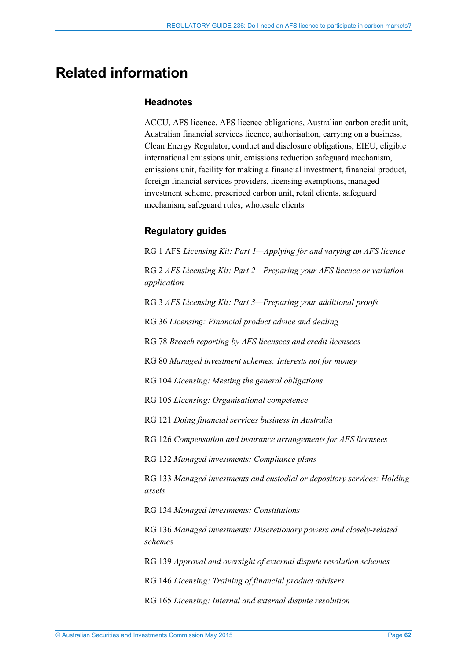## <span id="page-61-1"></span><span id="page-61-0"></span>**Related information**

#### **Headnotes**

ACCU, AFS licence, AFS licence obligations, Australian carbon credit unit, Australian financial services licence, authorisation, carrying on a business, Clean Energy Regulator, conduct and disclosure obligations, EIEU, eligible international emissions unit, emissions reduction safeguard mechanism, emissions unit, facility for making a financial investment, financial product, foreign financial services providers, licensing exemptions, managed investment scheme, prescribed carbon unit, retail clients, safeguard mechanism, safeguard rules, wholesale clients

### **Regulatory guides**

RG 1 AFS *Licensing Kit: Part 1—Applying for and varying an AFS licence*

RG 2 *AFS Licensing Kit: Part 2—Preparing your AFS licence or variation application*

RG 3 *AFS Licensing Kit: Part 3—Preparing your additional proofs*

RG 36 *Licensing: Financial product advice and dealing*

RG 78 *Breach reporting by AFS licensees and credit licensees*

RG 80 *Managed investment schemes: Interests not for money*

RG 104 *Licensing: Meeting the general obligations*

RG 105 *Licensing: Organisational competence*

RG 121 *Doing financial services business in Australia*

RG 126 *Compensation and insurance arrangements for AFS licensees*

RG 132 *Managed investments: Compliance plans*

RG 133 *Managed investments and custodial or depository services: Holding assets*

RG 134 *Managed investments: Constitutions*

RG 136 *Managed investments: Discretionary powers and closely-related schemes*

RG 139 *Approval and oversight of external dispute resolution schemes*

RG 146 *Licensing: Training of financial product advisers*

RG 165 *Licensing: Internal and external dispute resolution*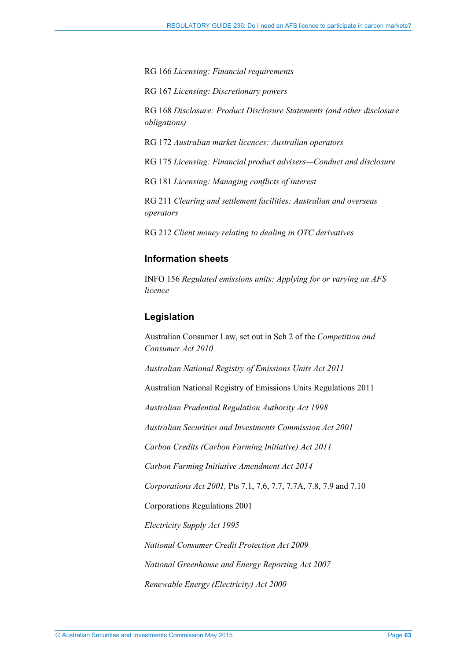RG 166 *Licensing: Financial requirements*

RG 167 *Licensing: Discretionary powers*

RG 168 *Disclosure: Product Disclosure Statements (and other disclosure obligations)*

RG 172 *Australian market licences: Australian operators*

RG 175 *Licensing: Financial product advisers—Conduct and disclosure*

RG 181 *Licensing: Managing conflicts of interest*

RG 211 *Clearing and settlement facilities: Australian and overseas operators*

RG 212 *Client money relating to dealing in OTC derivatives*

#### **Information sheets**

INFO 156 *Regulated emissions units: Applying for or varying an AFS licence*

#### **Legislation**

Australian Consumer Law, set out in Sch 2 of the *Competition and Consumer Act 2010*

*Australian National Registry of Emissions Units Act 2011*

Australian National Registry of Emissions Units Regulations 2011

*Australian Prudential Regulation Authority Act 1998*

*Australian Securities and Investments Commission Act 2001*

*Carbon Credits (Carbon Farming Initiative) Act 2011*

*Carbon Farming Initiative Amendment Act 2014*

*Corporations Act 2001,* Pts 7.1, 7.6, 7.7, 7.7A, 7.8, 7.9 and 7.10

Corporations Regulations 2001

*Electricity Supply Act 1995*

*National Consumer Credit Protection Act 2009*

*National Greenhouse and Energy Reporting Act 2007*

*Renewable Energy (Electricity) Act 2000*